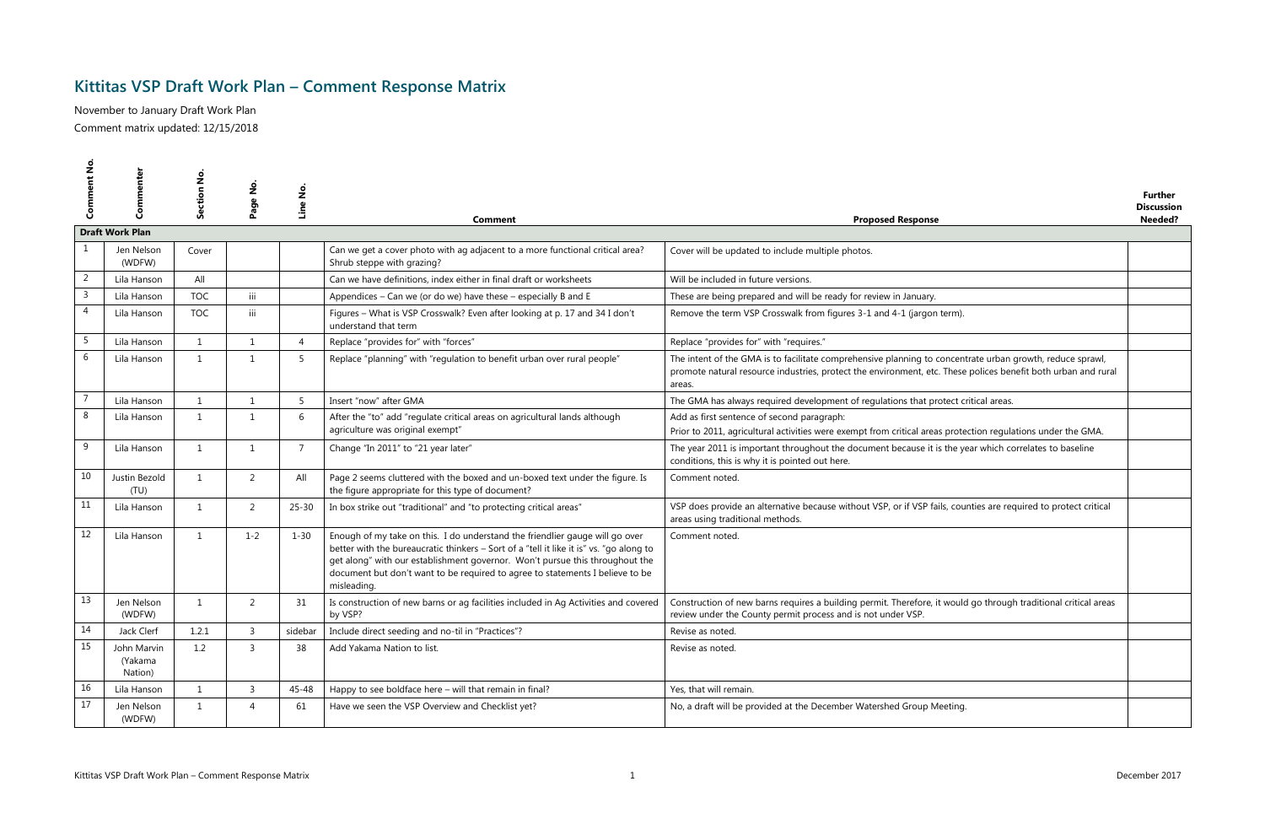## **Kittitas VSP Draft Work Plan – Comment Response Matrix**

November to January Draft Work Plan Comment matrix updated: 12/15/2018

|              | Commenter<br><b>Draft Work Plan</b> | $rac{6}{5}$<br><b>Section</b> | Page No.       | Line No.       | Comment                                                                                                                                                                                                                                                                                                                                                 | <b>Proposed Response</b>                                                                                                                                                                                                             | <b>Further</b><br><b>Discussion</b><br>Needed? |
|--------------|-------------------------------------|-------------------------------|----------------|----------------|---------------------------------------------------------------------------------------------------------------------------------------------------------------------------------------------------------------------------------------------------------------------------------------------------------------------------------------------------------|--------------------------------------------------------------------------------------------------------------------------------------------------------------------------------------------------------------------------------------|------------------------------------------------|
|              |                                     |                               |                |                |                                                                                                                                                                                                                                                                                                                                                         |                                                                                                                                                                                                                                      |                                                |
|              | Jen Nelson<br>(WDFW)                | Cover                         |                |                | Can we get a cover photo with ag adjacent to a more functional critical area?<br>Shrub steppe with grazing?                                                                                                                                                                                                                                             | Cover will be updated to include multiple photos.                                                                                                                                                                                    |                                                |
| 2            | Lila Hanson                         | All                           |                |                | Can we have definitions, index either in final draft or worksheets                                                                                                                                                                                                                                                                                      | Will be included in future versions.                                                                                                                                                                                                 |                                                |
| $\mathsf{3}$ | Lila Hanson                         | <b>TOC</b>                    | iii            |                | Appendices - Can we (or do we) have these - especially B and E                                                                                                                                                                                                                                                                                          | These are being prepared and will be ready for review in January.                                                                                                                                                                    |                                                |
| 4            | Lila Hanson                         | <b>TOC</b>                    | iii            |                | Figures - What is VSP Crosswalk? Even after looking at p. 17 and 34 I don't<br>understand that term                                                                                                                                                                                                                                                     | Remove the term VSP Crosswalk from figures 3-1 and 4-1 (jargon term).                                                                                                                                                                |                                                |
| 5            | Lila Hanson                         | 1                             | 1              | $\overline{4}$ | Replace "provides for" with "forces"                                                                                                                                                                                                                                                                                                                    | Replace "provides for" with "requires."                                                                                                                                                                                              |                                                |
| 6            | Lila Hanson                         | 1                             | $\overline{1}$ | -5             | Replace "planning" with "regulation to benefit urban over rural people"                                                                                                                                                                                                                                                                                 | The intent of the GMA is to facilitate comprehensive planning to concentrate urban growth, reduce sprawl,<br>promote natural resource industries, protect the environment, etc. These polices benefit both urban and rural<br>areas. |                                                |
|              | Lila Hanson                         | 1                             | 1              | -5             | Insert "now" after GMA                                                                                                                                                                                                                                                                                                                                  | The GMA has always required development of regulations that protect critical areas.                                                                                                                                                  |                                                |
| 8            | Lila Hanson                         | $\mathbf{1}$                  | $\overline{1}$ | -6             | After the "to" add "regulate critical areas on agricultural lands although<br>agriculture was original exempt"                                                                                                                                                                                                                                          | Add as first sentence of second paragraph:<br>Prior to 2011, agricultural activities were exempt from critical areas protection regulations under the GMA.                                                                           |                                                |
| 9            | Lila Hanson                         | $\mathbf{1}$                  | 1              | $\overline{7}$ | Change "In 2011" to "21 year later"                                                                                                                                                                                                                                                                                                                     | The year 2011 is important throughout the document because it is the year which correlates to baseline<br>conditions, this is why it is pointed out here.                                                                            |                                                |
| 10           | Justin Bezold<br>(TU)               | 1                             | 2              | All            | Page 2 seems cluttered with the boxed and un-boxed text under the figure. Is<br>the figure appropriate for this type of document?                                                                                                                                                                                                                       | Comment noted.                                                                                                                                                                                                                       |                                                |
| 11           | Lila Hanson                         | $\mathbf{1}$                  | 2              | $25 - 30$      | In box strike out "traditional" and "to protecting critical areas"                                                                                                                                                                                                                                                                                      | VSP does provide an alternative because without VSP, or if VSP fails, counties are required to protect critical<br>areas using traditional methods.                                                                                  |                                                |
| 12           | Lila Hanson                         | $\overline{1}$                | $1 - 2$        | $1 - 30$       | Enough of my take on this. I do understand the friendlier gauge will go over<br>better with the bureaucratic thinkers - Sort of a "tell it like it is" vs. "go along to<br>get along" with our establishment governor. Won't pursue this throughout the<br>document but don't want to be required to agree to statements I believe to be<br>misleading. | Comment noted.                                                                                                                                                                                                                       |                                                |
| 13           | Jen Nelson<br>(WDFW)                | $\mathbf{1}$                  | 2              | 31             | Is construction of new barns or ag facilities included in Ag Activities and covered<br>by VSP?                                                                                                                                                                                                                                                          | Construction of new barns requires a building permit. Therefore, it would go through traditional critical areas<br>review under the County permit process and is not under VSP.                                                      |                                                |
| 14           | Jack Clerf                          | 1.2.1                         | $\overline{3}$ | sidebar        | Include direct seeding and no-til in "Practices"?                                                                                                                                                                                                                                                                                                       | Revise as noted.                                                                                                                                                                                                                     |                                                |
| 15           | John Marvin<br>(Yakama<br>Nation)   | 1.2                           | $\overline{3}$ | 38             | Add Yakama Nation to list.                                                                                                                                                                                                                                                                                                                              | Revise as noted.                                                                                                                                                                                                                     |                                                |
| 16           | Lila Hanson                         | 1                             | $\overline{3}$ | 45-48          | Happy to see boldface here - will that remain in final?                                                                                                                                                                                                                                                                                                 | Yes, that will remain.                                                                                                                                                                                                               |                                                |
| 17           | Jen Nelson<br>(WDFW)                | $\mathbf{1}$                  | $\overline{4}$ | 61             | Have we seen the VSP Overview and Checklist yet?                                                                                                                                                                                                                                                                                                        | No, a draft will be provided at the December Watershed Group Meeting.                                                                                                                                                                |                                                |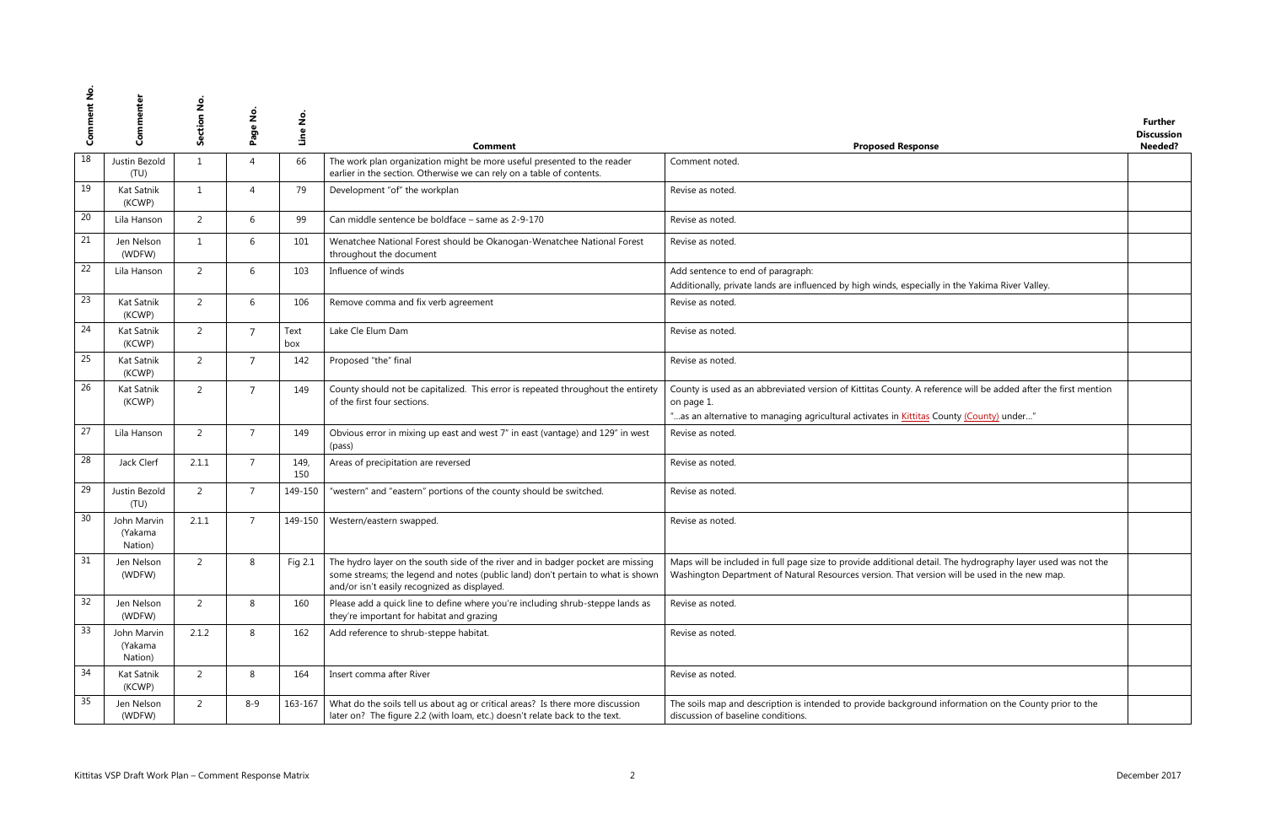| se                                                                               | <b>Further</b><br><b>Discussion</b><br>Needed? |
|----------------------------------------------------------------------------------|------------------------------------------------|
|                                                                                  |                                                |
|                                                                                  |                                                |
|                                                                                  |                                                |
|                                                                                  |                                                |
| Illy in the Yakima River Valley.                                                 |                                                |
|                                                                                  |                                                |
|                                                                                  |                                                |
|                                                                                  |                                                |
| ference will be added after the first mention                                    |                                                |
| County (County) under"                                                           |                                                |
|                                                                                  |                                                |
|                                                                                  |                                                |
|                                                                                  |                                                |
|                                                                                  |                                                |
| ail. The hydrography layer used was not the<br>sion will be used in the new map. |                                                |
|                                                                                  |                                                |
|                                                                                  |                                                |
|                                                                                  |                                                |
| d information on the County prior to the                                         |                                                |

| z<br>ق<br>ت | Commenter                                              | ction No<br>ق | $\dot{\mathsf{z}}$<br>Page | Line No.    | <b>Comment</b>                                                                                                                                                                                                     | <b>Proposed Response</b>                                                                                                                                                                                      | <b>Further</b><br><b>Discussion</b><br>Needed? |
|-------------|--------------------------------------------------------|---------------|----------------------------|-------------|--------------------------------------------------------------------------------------------------------------------------------------------------------------------------------------------------------------------|---------------------------------------------------------------------------------------------------------------------------------------------------------------------------------------------------------------|------------------------------------------------|
| 18          | Justin Bezold<br>(TU)                                  | 1             | $\overline{4}$             | 66          | The work plan organization might be more useful presented to the reader<br>earlier in the section. Otherwise we can rely on a table of contents.                                                                   | Comment noted.                                                                                                                                                                                                |                                                |
| 19          | Kat Satnik<br>(KCWP)                                   | 1             | $\overline{4}$             | 79          | Development "of" the workplan                                                                                                                                                                                      | Revise as noted.                                                                                                                                                                                              |                                                |
| 20          | Lila Hanson                                            | 2             | 6                          | 99          | Can middle sentence be boldface - same as 2-9-170                                                                                                                                                                  | Revise as noted.                                                                                                                                                                                              |                                                |
| 21          | Jen Nelson<br>(WDFW)                                   | 1             | 6                          | 101         | Wenatchee National Forest should be Okanogan-Wenatchee National Forest<br>throughout the document                                                                                                                  | Revise as noted.                                                                                                                                                                                              |                                                |
| 22          | Lila Hanson                                            | 2             | 6                          | 103         | Influence of winds                                                                                                                                                                                                 | Add sentence to end of paragraph:<br>Additionally, private lands are influenced by high winds, especially in the Yakima River Valley.                                                                         |                                                |
| 23          | Kat Satnik<br>(KCWP)                                   | 2             | 6                          | 106         | Remove comma and fix verb agreement                                                                                                                                                                                | Revise as noted.                                                                                                                                                                                              |                                                |
| 24          | Kat Satnik<br>(KCWP)                                   | 2             | $\overline{7}$             | Text<br>box | Lake Cle Elum Dam                                                                                                                                                                                                  | Revise as noted.                                                                                                                                                                                              |                                                |
| 25          | Kat Satnik<br>(KCWP)                                   | 2             | $\overline{7}$             | 142         | Proposed "the" final                                                                                                                                                                                               | Revise as noted.                                                                                                                                                                                              |                                                |
| 26          | Kat Satnik<br>(KCWP)                                   | 2             | $\overline{7}$             | 149         | County should not be capitalized. This error is repeated throughout the entirety<br>of the first four sections.                                                                                                    | County is used as an abbreviated version of Kittitas County. A reference will be added after the first mention<br>on page 1.                                                                                  |                                                |
| 27          | Lila Hanson                                            | 2             | $\overline{7}$             | 149         | Obvious error in mixing up east and west 7" in east (vantage) and 129" in west<br>(pass)                                                                                                                           | "as an alternative to managing agricultural activates in <b>Kittitas County (County)</b> under"<br>Revise as noted.                                                                                           |                                                |
| 28          | Jack Clerf                                             | 2.1.1         | $\overline{7}$             | 149,<br>150 | Areas of precipitation are reversed                                                                                                                                                                                | Revise as noted.                                                                                                                                                                                              |                                                |
| 29          | Justin Bezold<br>(TU)                                  | 2             | $\overline{7}$             | 149-150     | "western" and "eastern" portions of the county should be switched.                                                                                                                                                 | Revise as noted.                                                                                                                                                                                              |                                                |
| 30          | John Marvin<br>(Yakama<br>Nation)                      | 2.1.1         | $\overline{7}$             | 149-150     | Western/eastern swapped.                                                                                                                                                                                           | Revise as noted.                                                                                                                                                                                              |                                                |
| 31          | Jen Nelson<br>(WDFW)                                   | 2             | 8                          | Fig 2.1     | The hydro layer on the south side of the river and in badger pocket are missing<br>some streams; the legend and notes (public land) don't pertain to what is shown<br>and/or isn't easily recognized as displayed. | Maps will be included in full page size to provide additional detail. The hydrography layer used was not the<br>Washington Department of Natural Resources version. That version will be used in the new map. |                                                |
| 32          | Jen Nelson<br>(WDFW)                                   | 2             | 8                          | 160         | Please add a quick line to define where you're including shrub-steppe lands as<br>they're important for habitat and grazing                                                                                        | Revise as noted.                                                                                                                                                                                              |                                                |
| 33          | John Marvin<br>(Yakama<br>Nation)                      | 2.1.2         | 8                          | 162         | Add reference to shrub-steppe habitat.                                                                                                                                                                             | Revise as noted.                                                                                                                                                                                              |                                                |
| 34          | Kat Satnik<br>(KCWP)                                   | 2             | 8                          | 164         | Insert comma after River                                                                                                                                                                                           | Revise as noted.                                                                                                                                                                                              |                                                |
| 35          | Jen Nelson<br>(WDFW)                                   | 2             | 8-9                        | 163-167     | What do the soils tell us about ag or critical areas? Is there more discussion<br>later on? The figure 2.2 (with loam, etc.) doesn't relate back to the text.                                                      | The soils map and description is intended to provide background information on the County prior to the<br>discussion of baseline conditions.                                                                  |                                                |
|             | Kittitas VSP Draft Work Plan - Comment Response Matrix |               |                            |             | $\mathcal{L}$                                                                                                                                                                                                      |                                                                                                                                                                                                               | December 2017                                  |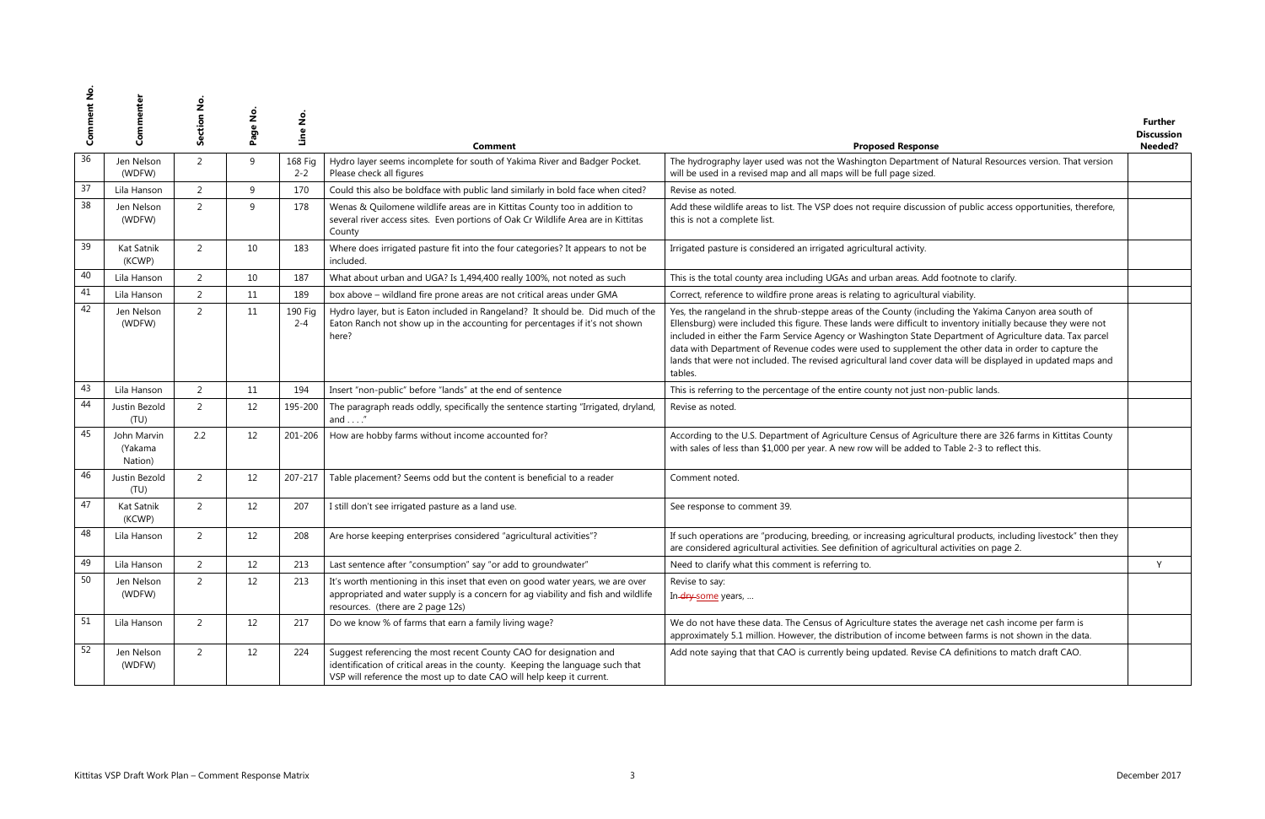| se                                                                                                                                                                                                                              | <b>Further</b><br><b>Discussion</b><br>Needed? |
|---------------------------------------------------------------------------------------------------------------------------------------------------------------------------------------------------------------------------------|------------------------------------------------|
| nt of Natural Resources version. That version<br>J.                                                                                                                                                                             |                                                |
|                                                                                                                                                                                                                                 |                                                |
| sion of public access opportunities, therefore,                                                                                                                                                                                 |                                                |
|                                                                                                                                                                                                                                 |                                                |
| dd footnote to clarify.                                                                                                                                                                                                         |                                                |
| ral viability.                                                                                                                                                                                                                  |                                                |
| uding the Yakima Canyon area south of<br>to inventory initially because they were not<br>Department of Agriculture data. Tax parcel<br>ent the other data in order to capture the<br>data will be displayed in updated maps and |                                                |
| non-public lands.                                                                                                                                                                                                               |                                                |
|                                                                                                                                                                                                                                 |                                                |
| culture there are 326 farms in Kittitas County<br>to Table 2-3 to reflect this.                                                                                                                                                 |                                                |
|                                                                                                                                                                                                                                 |                                                |
|                                                                                                                                                                                                                                 |                                                |
| ultural products, including livestock" then they<br>al activities on page 2.                                                                                                                                                    |                                                |
|                                                                                                                                                                                                                                 | Υ                                              |
|                                                                                                                                                                                                                                 |                                                |
| average net cash income per farm is<br>between farms is not shown in the data.                                                                                                                                                  |                                                |
| e CA definitions to match draft CAO.                                                                                                                                                                                            |                                                |
|                                                                                                                                                                                                                                 |                                                |

| კ  | දු                                                     | Section No | $\frac{1}{2}$<br>Page | $\frac{1}{2}$<br><u>uine</u> | Comment                                                                                                                                                                                                                       | <b>Proposed Response</b>                                                                                                                                                                                                                                                                                                                                                                                                                                                                                                                                                | <b>Further</b><br><b>Discussion</b><br>Needed? |
|----|--------------------------------------------------------|------------|-----------------------|------------------------------|-------------------------------------------------------------------------------------------------------------------------------------------------------------------------------------------------------------------------------|-------------------------------------------------------------------------------------------------------------------------------------------------------------------------------------------------------------------------------------------------------------------------------------------------------------------------------------------------------------------------------------------------------------------------------------------------------------------------------------------------------------------------------------------------------------------------|------------------------------------------------|
| 36 | Jen Nelson<br>(WDFW)                                   | 2          | 9                     | 168 Fig<br>$2 - 2$           | Hydro layer seems incomplete for south of Yakima River and Badger Pocket.<br>Please check all figures                                                                                                                         | The hydrography layer used was not the Washington Department of Natural Resources version. That version<br>will be used in a revised map and all maps will be full page sized.                                                                                                                                                                                                                                                                                                                                                                                          |                                                |
| 37 | Lila Hanson                                            | 2          | 9                     | 170                          | Could this also be boldface with public land similarly in bold face when cited?                                                                                                                                               | Revise as noted.                                                                                                                                                                                                                                                                                                                                                                                                                                                                                                                                                        |                                                |
| 38 | Jen Nelson<br>(WDFW)                                   | 2          | $\mathsf{q}$          | 178                          | Wenas & Quilomene wildlife areas are in Kittitas County too in addition to<br>several river access sites. Even portions of Oak Cr Wildlife Area are in Kittitas<br>County                                                     | Add these wildlife areas to list. The VSP does not require discussion of public access opportunities, therefore,<br>this is not a complete list.                                                                                                                                                                                                                                                                                                                                                                                                                        |                                                |
| 39 | Kat Satnik<br>(KCWP)                                   | 2          | 10                    | 183                          | Where does irrigated pasture fit into the four categories? It appears to not be<br>included.                                                                                                                                  | Irrigated pasture is considered an irrigated agricultural activity.                                                                                                                                                                                                                                                                                                                                                                                                                                                                                                     |                                                |
| 40 | Lila Hanson                                            | 2          | 10                    | 187                          | What about urban and UGA? Is 1,494,400 really 100%, not noted as such                                                                                                                                                         | This is the total county area including UGAs and urban areas. Add footnote to clarify.                                                                                                                                                                                                                                                                                                                                                                                                                                                                                  |                                                |
| 41 | Lila Hanson                                            | 2          | 11                    | 189                          | box above - wildland fire prone areas are not critical areas under GMA                                                                                                                                                        | Correct, reference to wildfire prone areas is relating to agricultural viability.                                                                                                                                                                                                                                                                                                                                                                                                                                                                                       |                                                |
| 42 | Jen Nelson<br>(WDFW)                                   | 2          | 11                    | 190 Fig<br>$2 - 4$           | Hydro layer, but is Eaton included in Rangeland? It should be. Did much of the<br>Eaton Ranch not show up in the accounting for percentages if it's not shown<br>here?                                                        | Yes, the rangeland in the shrub-steppe areas of the County (including the Yakima Canyon area south of<br>Ellensburg) were included this figure. These lands were difficult to inventory initially because they were not<br>included in either the Farm Service Agency or Washington State Department of Agriculture data. Tax parcel<br>data with Department of Revenue codes were used to supplement the other data in order to capture the<br>lands that were not included. The revised agricultural land cover data will be displayed in updated maps and<br>tables. |                                                |
| 43 | Lila Hanson                                            | 2          | 11                    | 194                          | Insert "non-public" before "lands" at the end of sentence                                                                                                                                                                     | This is referring to the percentage of the entire county not just non-public lands.                                                                                                                                                                                                                                                                                                                                                                                                                                                                                     |                                                |
| 44 | Justin Bezold<br>(TU)                                  | 2          | 12                    | 195-200                      | The paragraph reads oddly, specifically the sentence starting "Irrigated, dryland,<br>and $\dots$ ."                                                                                                                          | Revise as noted.                                                                                                                                                                                                                                                                                                                                                                                                                                                                                                                                                        |                                                |
| 45 | John Marvin<br>(Yakama<br>Nation)                      | 2.2        | $12 \overline{ }$     | 201-206                      | How are hobby farms without income accounted for?                                                                                                                                                                             | According to the U.S. Department of Agriculture Census of Agriculture there are 326 farms in Kittitas County<br>with sales of less than \$1,000 per year. A new row will be added to Table 2-3 to reflect this.                                                                                                                                                                                                                                                                                                                                                         |                                                |
| 46 | Justin Bezold<br>(TU)                                  | 2          | 12                    | 207-217                      | Table placement? Seems odd but the content is beneficial to a reader                                                                                                                                                          | Comment noted.                                                                                                                                                                                                                                                                                                                                                                                                                                                                                                                                                          |                                                |
| 47 | Kat Satnik<br>(KCWP)                                   | 2          | 12                    | 207                          | I still don't see irrigated pasture as a land use.                                                                                                                                                                            | See response to comment 39.                                                                                                                                                                                                                                                                                                                                                                                                                                                                                                                                             |                                                |
| 48 | Lila Hanson                                            | 2          | 12                    | 208                          | Are horse keeping enterprises considered "agricultural activities"?                                                                                                                                                           | If such operations are "producing, breeding, or increasing agricultural products, including livestock" then they<br>are considered agricultural activities. See definition of agricultural activities on page 2.                                                                                                                                                                                                                                                                                                                                                        |                                                |
| 49 | Lila Hanson                                            | 2          | 12                    | 213                          | Last sentence after "consumption" say "or add to groundwater"                                                                                                                                                                 | Need to clarify what this comment is referring to.                                                                                                                                                                                                                                                                                                                                                                                                                                                                                                                      | Y.                                             |
| 50 | Jen Nelson<br>(WDFW)                                   | 2          | 12                    | 213                          | It's worth mentioning in this inset that even on good water years, we are over<br>appropriated and water supply is a concern for ag viability and fish and wildlife<br>resources. (there are 2 page 12s)                      | Revise to say:<br>In-dry-some years,                                                                                                                                                                                                                                                                                                                                                                                                                                                                                                                                    |                                                |
| 51 | Lila Hanson                                            | 2          | 12                    | 217                          | Do we know % of farms that earn a family living wage?                                                                                                                                                                         | We do not have these data. The Census of Agriculture states the average net cash income per farm is<br>approximately 5.1 million. However, the distribution of income between farms is not shown in the data.                                                                                                                                                                                                                                                                                                                                                           |                                                |
| 52 | Jen Nelson<br>(WDFW)                                   | 2          | 12                    | 224                          | Suggest referencing the most recent County CAO for designation and<br>identification of critical areas in the county. Keeping the language such that<br>VSP will reference the most up to date CAO will help keep it current. | Add note saying that that CAO is currently being updated. Revise CA definitions to match draft CAO.                                                                                                                                                                                                                                                                                                                                                                                                                                                                     |                                                |
|    | Kittitas VSP Draft Work Plan - Comment Response Matrix |            |                       |                              |                                                                                                                                                                                                                               | December 2017                                                                                                                                                                                                                                                                                                                                                                                                                                                                                                                                                           |                                                |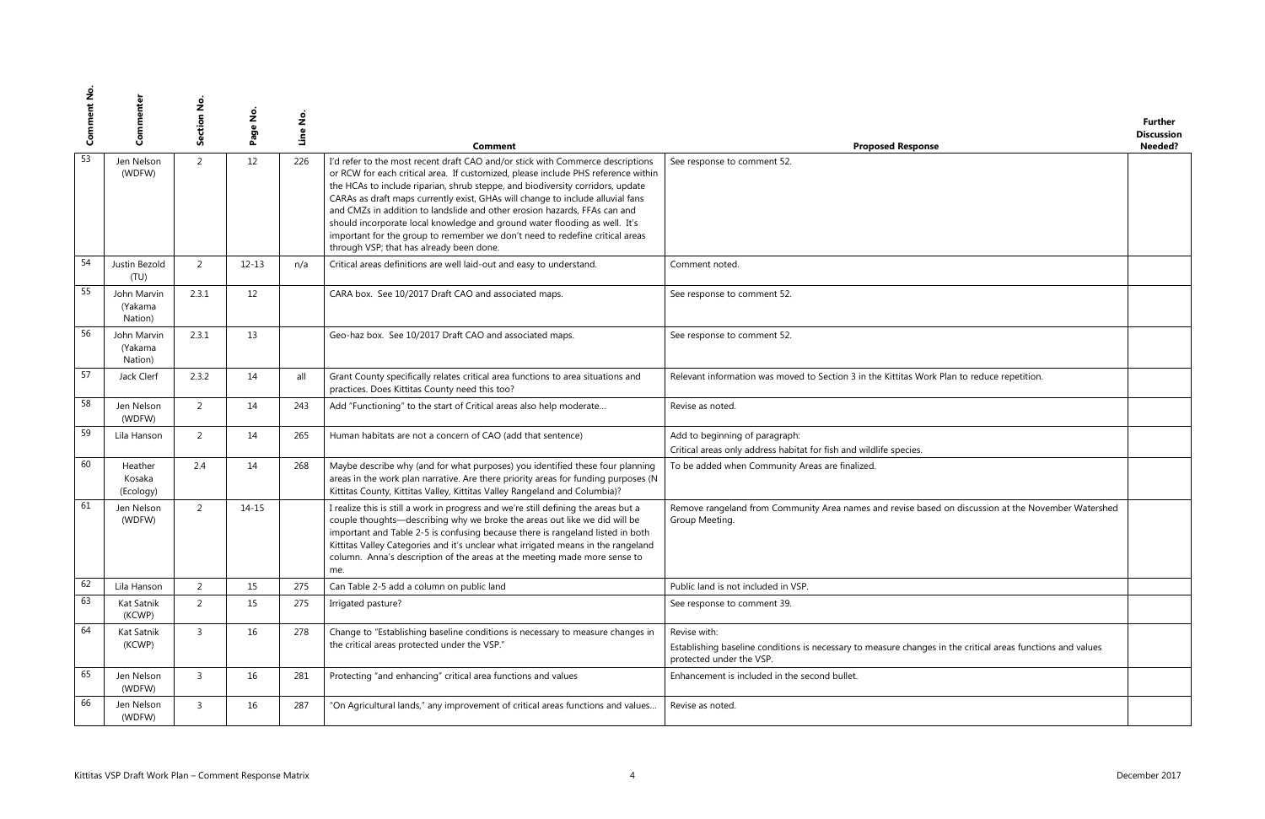|                                               | <b>Further</b>    |
|-----------------------------------------------|-------------------|
|                                               | <b>Discussion</b> |
| se                                            | Needed?           |
|                                               |                   |
|                                               |                   |
|                                               |                   |
|                                               |                   |
|                                               |                   |
|                                               |                   |
|                                               |                   |
|                                               |                   |
|                                               |                   |
|                                               |                   |
|                                               |                   |
|                                               |                   |
|                                               |                   |
|                                               |                   |
|                                               |                   |
| rk Plan to reduce repetition.                 |                   |
|                                               |                   |
|                                               |                   |
|                                               |                   |
|                                               |                   |
|                                               |                   |
|                                               |                   |
|                                               |                   |
|                                               |                   |
|                                               |                   |
| ed on discussion at the November Watershed    |                   |
|                                               |                   |
|                                               |                   |
|                                               |                   |
|                                               |                   |
|                                               |                   |
|                                               |                   |
|                                               |                   |
|                                               |                   |
|                                               |                   |
| es in the critical areas functions and values |                   |
|                                               |                   |
|                                               |                   |
|                                               |                   |
|                                               |                   |
|                                               |                   |

| z<br>Com | Commenter                                              | Section No.    | Page No.  | Line No. | Comment                                                                                                                                                                                                                                                                                                                                                                                                                                                                                                                                                                                                                        | <b>Proposed Response</b>                                                                                                                | <b>Further</b><br><b>Discussion</b><br>Needed? |
|----------|--------------------------------------------------------|----------------|-----------|----------|--------------------------------------------------------------------------------------------------------------------------------------------------------------------------------------------------------------------------------------------------------------------------------------------------------------------------------------------------------------------------------------------------------------------------------------------------------------------------------------------------------------------------------------------------------------------------------------------------------------------------------|-----------------------------------------------------------------------------------------------------------------------------------------|------------------------------------------------|
| 53       | Jen Nelson<br>(WDFW)                                   | $\overline{2}$ | 12        | 226      | I'd refer to the most recent draft CAO and/or stick with Commerce descriptions<br>or RCW for each critical area. If customized, please include PHS reference within<br>the HCAs to include riparian, shrub steppe, and biodiversity corridors, update<br>CARAs as draft maps currently exist, GHAs will change to include alluvial fans<br>and CMZs in addition to landslide and other erosion hazards, FFAs can and<br>should incorporate local knowledge and ground water flooding as well. It's<br>important for the group to remember we don't need to redefine critical areas<br>through VSP; that has already been done. | See response to comment 52.                                                                                                             |                                                |
| 54       | Justin Bezold<br>(TU)                                  | $\overline{2}$ | $12 - 13$ | n/a      | Critical areas definitions are well laid-out and easy to understand.                                                                                                                                                                                                                                                                                                                                                                                                                                                                                                                                                           | Comment noted.                                                                                                                          |                                                |
| 55       | John Marvin<br>(Yakama<br>Nation)                      | 2.3.1          | 12        |          | CARA box. See 10/2017 Draft CAO and associated maps.                                                                                                                                                                                                                                                                                                                                                                                                                                                                                                                                                                           | See response to comment 52.                                                                                                             |                                                |
| 56       | John Marvin<br>(Yakama<br>Nation)                      | 2.3.1          | 13        |          | Geo-haz box. See 10/2017 Draft CAO and associated maps.                                                                                                                                                                                                                                                                                                                                                                                                                                                                                                                                                                        | See response to comment 52.                                                                                                             |                                                |
| 57       | Jack Clerf                                             | 2.3.2          | 14        | all      | Grant County specifically relates critical area functions to area situations and<br>practices. Does Kittitas County need this too?                                                                                                                                                                                                                                                                                                                                                                                                                                                                                             | Relevant information was moved to Section 3 in the Kittitas Work Plan to reduce repetition.                                             |                                                |
| 58       | Jen Nelson<br>(WDFW)                                   | $\overline{2}$ | 14        | 243      | Add "Functioning" to the start of Critical areas also help moderate                                                                                                                                                                                                                                                                                                                                                                                                                                                                                                                                                            | Revise as noted.                                                                                                                        |                                                |
| 59       | Lila Hanson                                            | $\overline{2}$ | 14        | 265      | Human habitats are not a concern of CAO (add that sentence)                                                                                                                                                                                                                                                                                                                                                                                                                                                                                                                                                                    | Add to beginning of paragraph:<br>Critical areas only address habitat for fish and wildlife species.                                    |                                                |
| 60       | Heather<br>Kosaka<br>(Ecology)                         | 2.4            | 14        | 268      | Maybe describe why (and for what purposes) you identified these four planning<br>areas in the work plan narrative. Are there priority areas for funding purposes (N<br>Kittitas County, Kittitas Valley, Kittitas Valley Rangeland and Columbia)?                                                                                                                                                                                                                                                                                                                                                                              | To be added when Community Areas are finalized.                                                                                         |                                                |
| 61       | Jen Nelson<br>(WDFW)                                   | $\overline{2}$ | $14 - 15$ |          | I realize this is still a work in progress and we're still defining the areas but a<br>couple thoughts-describing why we broke the areas out like we did will be<br>important and Table 2-5 is confusing because there is rangeland listed in both<br>Kittitas Valley Categories and it's unclear what irrigated means in the rangeland<br>column. Anna's description of the areas at the meeting made more sense to<br>me.                                                                                                                                                                                                    | Remove rangeland from Community Area names and revise based on discussion at the November Watershed<br>Group Meeting.                   |                                                |
| 62       | Lila Hanson                                            | $\overline{2}$ | 15        | 275      | Can Table 2-5 add a column on public land                                                                                                                                                                                                                                                                                                                                                                                                                                                                                                                                                                                      | Public land is not included in VSP.                                                                                                     |                                                |
| 63       | Kat Satnik<br>(KCWP)                                   | $\overline{2}$ | 15        | 275      | Irrigated pasture?                                                                                                                                                                                                                                                                                                                                                                                                                                                                                                                                                                                                             | See response to comment 39.                                                                                                             |                                                |
| 64       | Kat Satnik                                             | $\mathsf{3}$   | 16        | 278      | Change to "Establishing baseline conditions is necessary to measure changes in                                                                                                                                                                                                                                                                                                                                                                                                                                                                                                                                                 | Revise with:                                                                                                                            |                                                |
|          | (KCWP)                                                 |                |           |          | the critical areas protected under the VSP."                                                                                                                                                                                                                                                                                                                                                                                                                                                                                                                                                                                   | Establishing baseline conditions is necessary to measure changes in the critical areas functions and values<br>protected under the VSP. |                                                |
| 65       | Jen Nelson<br>(WDFW)                                   | $\mathsf{3}$   | 16        | 281      | Protecting "and enhancing" critical area functions and values                                                                                                                                                                                                                                                                                                                                                                                                                                                                                                                                                                  | Enhancement is included in the second bullet.                                                                                           |                                                |
| 66       | Jen Nelson<br>(WDFW)                                   | 3              | 16        | 287      | "On Agricultural lands," any improvement of critical areas functions and values                                                                                                                                                                                                                                                                                                                                                                                                                                                                                                                                                | Revise as noted.                                                                                                                        |                                                |
|          | Kittitas VSP Draft Work Plan - Comment Response Matrix |                |           |          |                                                                                                                                                                                                                                                                                                                                                                                                                                                                                                                                                                                                                                |                                                                                                                                         | December 2017                                  |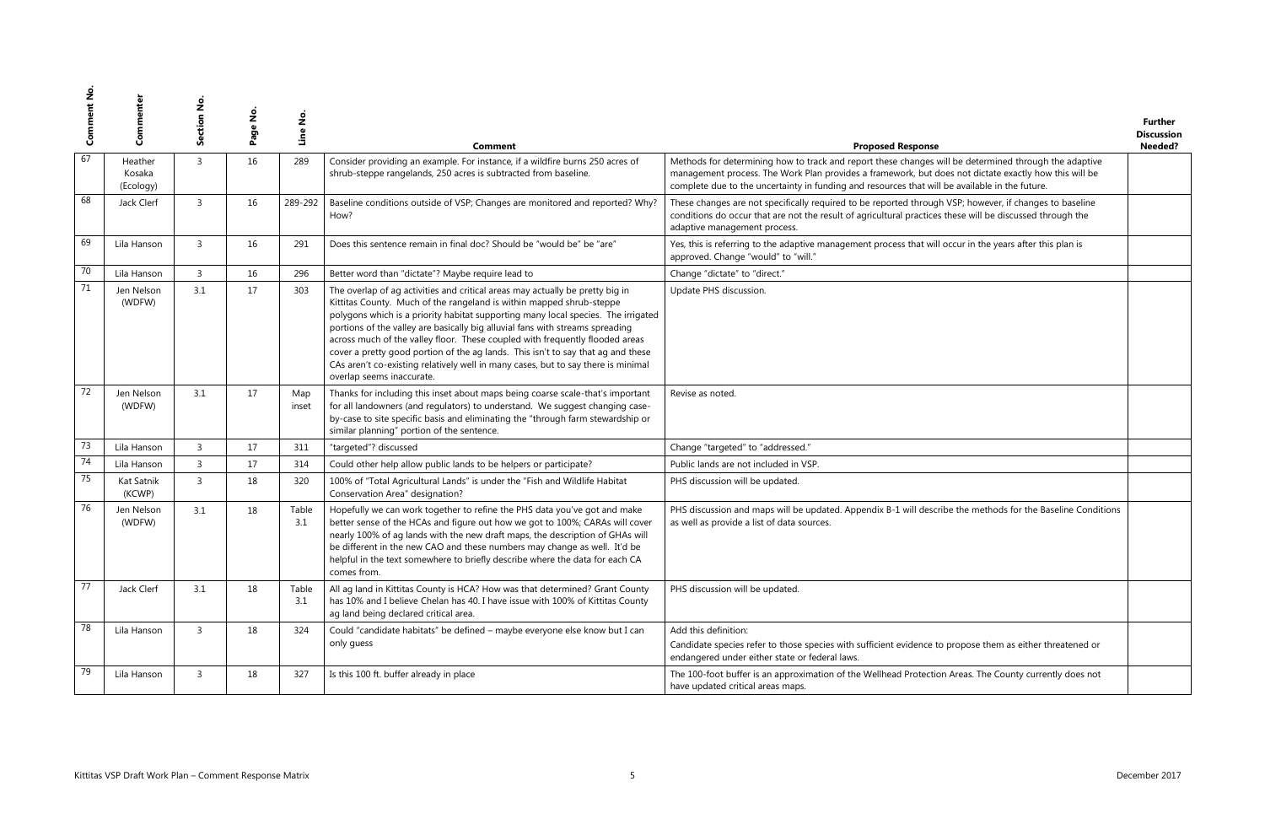| se                                                                                                                           | <b>Further</b><br><b>Discussion</b><br>Needed? |
|------------------------------------------------------------------------------------------------------------------------------|------------------------------------------------|
| s will be determined through the adaptive<br>t does not dictate exactly how this will be<br>vill be available in the future. |                                                |
| ugh VSP; however, if changes to baseline<br>ces these will be discussed through the                                          |                                                |
| vill occur in the years after this plan is                                                                                   |                                                |
|                                                                                                                              |                                                |
|                                                                                                                              |                                                |
|                                                                                                                              |                                                |
|                                                                                                                              |                                                |
|                                                                                                                              |                                                |
|                                                                                                                              |                                                |
|                                                                                                                              |                                                |
|                                                                                                                              |                                                |
| scribe the methods for the Baseline Conditions                                                                               |                                                |
|                                                                                                                              |                                                |
|                                                                                                                              |                                                |
|                                                                                                                              |                                                |
| to propose them as either threatened or                                                                                      |                                                |
| tion Areas. The County currently does not                                                                                    |                                                |
|                                                                                                                              |                                                |

| ပိ     | Commente                       | Section No     | $\frac{1}{2}$<br>Page | Line No.     | Comment                                                                                                                                                                                                                                                                                                                                                                                                                                                                                                                                                                                                           | <b>Proposed Response</b>                                                                                                                                                                                                                                                                                         | <b>Further</b><br><b>Discussion</b><br>Needed? |
|--------|--------------------------------|----------------|-----------------------|--------------|-------------------------------------------------------------------------------------------------------------------------------------------------------------------------------------------------------------------------------------------------------------------------------------------------------------------------------------------------------------------------------------------------------------------------------------------------------------------------------------------------------------------------------------------------------------------------------------------------------------------|------------------------------------------------------------------------------------------------------------------------------------------------------------------------------------------------------------------------------------------------------------------------------------------------------------------|------------------------------------------------|
| 67     | Heather<br>Kosaka<br>(Ecology) | $\overline{3}$ | 16                    | 289          | Consider providing an example. For instance, if a wildfire burns 250 acres of<br>shrub-steppe rangelands, 250 acres is subtracted from baseline.                                                                                                                                                                                                                                                                                                                                                                                                                                                                  | Methods for determining how to track and report these changes will be determined through the adaptive<br>management process. The Work Plan provides a framework, but does not dictate exactly how this will be<br>complete due to the uncertainty in funding and resources that will be available in the future. |                                                |
| 68     | Jack Clerf                     | $\overline{3}$ | 16                    | 289-292      | Baseline conditions outside of VSP; Changes are monitored and reported? Why?<br>How?                                                                                                                                                                                                                                                                                                                                                                                                                                                                                                                              | These changes are not specifically required to be reported through VSP; however, if changes to baseline<br>conditions do occur that are not the result of agricultural practices these will be discussed through the<br>adaptive management process.                                                             |                                                |
| 69     | Lila Hanson                    | $\overline{3}$ | 16                    | 291          | Does this sentence remain in final doc? Should be "would be" be "are"                                                                                                                                                                                                                                                                                                                                                                                                                                                                                                                                             | Yes, this is referring to the adaptive management process that will occur in the years after this plan is<br>approved. Change "would" to "will."                                                                                                                                                                 |                                                |
| $70\,$ | Lila Hanson                    | $\overline{3}$ | 16                    | 296          | Better word than "dictate"? Maybe require lead to                                                                                                                                                                                                                                                                                                                                                                                                                                                                                                                                                                 | Change "dictate" to "direct."                                                                                                                                                                                                                                                                                    |                                                |
| 71     | Jen Nelson<br>(WDFW)           | 3.1            | 17                    | 303          | The overlap of ag activities and critical areas may actually be pretty big in<br>Kittitas County. Much of the rangeland is within mapped shrub-steppe<br>polygons which is a priority habitat supporting many local species. The irrigated<br>portions of the valley are basically big alluvial fans with streams spreading<br>across much of the valley floor. These coupled with frequently flooded areas<br>cover a pretty good portion of the ag lands. This isn't to say that ag and these<br>CAs aren't co-existing relatively well in many cases, but to say there is minimal<br>overlap seems inaccurate. | Update PHS discussion.                                                                                                                                                                                                                                                                                           |                                                |
| 72     | Jen Nelson<br>(WDFW)           | 3.1            | 17                    | Map<br>inset | Thanks for including this inset about maps being coarse scale-that's important<br>for all landowners (and regulators) to understand. We suggest changing case-<br>by-case to site specific basis and eliminating the "through farm stewardship or<br>similar planning" portion of the sentence.                                                                                                                                                                                                                                                                                                                   | Revise as noted.                                                                                                                                                                                                                                                                                                 |                                                |
| 73     | Lila Hanson                    | $\overline{3}$ | 17                    | 311          | "targeted"? discussed                                                                                                                                                                                                                                                                                                                                                                                                                                                                                                                                                                                             | Change "targeted" to "addressed."                                                                                                                                                                                                                                                                                |                                                |
| 74     | Lila Hanson                    | $\overline{3}$ | 17                    | 314          | Could other help allow public lands to be helpers or participate?                                                                                                                                                                                                                                                                                                                                                                                                                                                                                                                                                 | Public lands are not included in VSP.                                                                                                                                                                                                                                                                            |                                                |
| 75     | Kat Satnik<br>(KCWP)           | $\overline{3}$ | 18                    | 320          | 100% of "Total Agricultural Lands" is under the "Fish and Wildlife Habitat<br>Conservation Area" designation?                                                                                                                                                                                                                                                                                                                                                                                                                                                                                                     | PHS discussion will be updated.                                                                                                                                                                                                                                                                                  |                                                |
| 76     | Jen Nelson<br>(WDFW)           | 3.1            | 18                    | Table<br>3.1 | Hopefully we can work together to refine the PHS data you've got and make<br>better sense of the HCAs and figure out how we got to 100%; CARAs will cover<br>nearly 100% of ag lands with the new draft maps, the description of GHAs will<br>be different in the new CAO and these numbers may change as well. It'd be<br>helpful in the text somewhere to briefly describe where the data for each CA<br>comes from.                                                                                                                                                                                            | PHS discussion and maps will be updated. Appendix B-1 will describe the methods for the Baseline Conditions<br>as well as provide a list of data sources.                                                                                                                                                        |                                                |
| 77     | Jack Clerf                     | 3.1            | 18                    | Table<br>3.1 | All ag land in Kittitas County is HCA? How was that determined? Grant County<br>has 10% and I believe Chelan has 40. I have issue with 100% of Kittitas County<br>ag land being declared critical area.                                                                                                                                                                                                                                                                                                                                                                                                           | PHS discussion will be updated.                                                                                                                                                                                                                                                                                  |                                                |
| 78     | Lila Hanson                    | $\overline{3}$ | 18                    | 324          | Could "candidate habitats" be defined - maybe everyone else know but I can<br>only guess                                                                                                                                                                                                                                                                                                                                                                                                                                                                                                                          | Add this definition:<br>Candidate species refer to those species with sufficient evidence to propose them as either threatened or<br>endangered under either state or federal laws.                                                                                                                              |                                                |
| 79     | Lila Hanson                    | $\overline{3}$ | 18                    | 327          | Is this 100 ft. buffer already in place                                                                                                                                                                                                                                                                                                                                                                                                                                                                                                                                                                           | The 100-foot buffer is an approximation of the Wellhead Protection Areas. The County currently does not<br>have updated critical areas maps.                                                                                                                                                                     |                                                |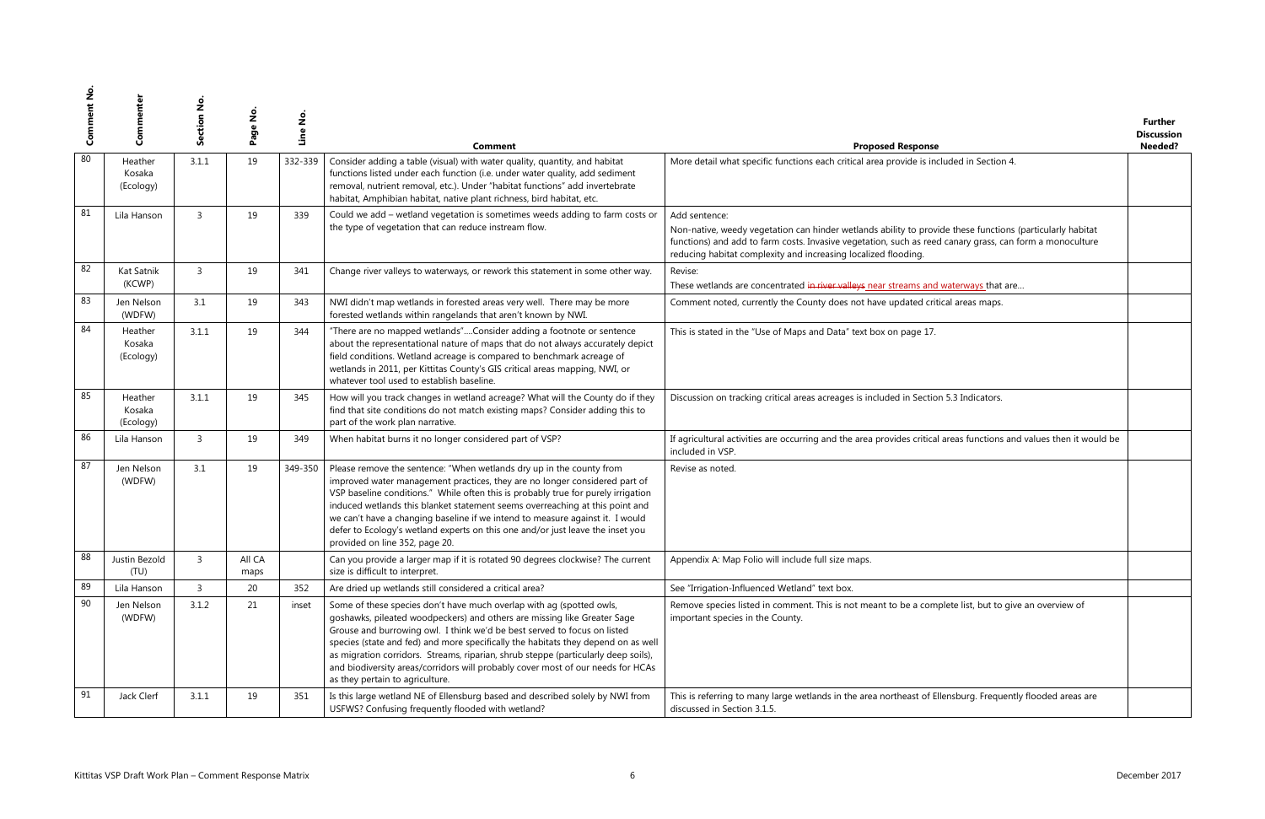|                                                                                        | <b>Further</b>    |
|----------------------------------------------------------------------------------------|-------------------|
|                                                                                        | <b>Discussion</b> |
| se                                                                                     | Needed?           |
| ncluded in Section 4.                                                                  |                   |
|                                                                                        |                   |
|                                                                                        |                   |
|                                                                                        |                   |
|                                                                                        |                   |
|                                                                                        |                   |
| ovide these functions (particularly habitat<br>ed canary grass, can form a monoculture |                   |
|                                                                                        |                   |
|                                                                                        |                   |
|                                                                                        |                   |
| nd waterways that are                                                                  |                   |
| ritical areas maps.                                                                    |                   |
|                                                                                        |                   |
| 7.                                                                                     |                   |
|                                                                                        |                   |
|                                                                                        |                   |
|                                                                                        |                   |
|                                                                                        |                   |
| ion 5.3 Indicators.                                                                    |                   |
|                                                                                        |                   |
|                                                                                        |                   |
| cal areas functions and values then it would be                                        |                   |
|                                                                                        |                   |
|                                                                                        |                   |
|                                                                                        |                   |
|                                                                                        |                   |
|                                                                                        |                   |
|                                                                                        |                   |
|                                                                                        |                   |
|                                                                                        |                   |
|                                                                                        |                   |
|                                                                                        |                   |
|                                                                                        |                   |
|                                                                                        |                   |
| mplete list, but to give an overview of                                                |                   |
|                                                                                        |                   |
|                                                                                        |                   |
|                                                                                        |                   |
|                                                                                        |                   |
|                                                                                        |                   |
|                                                                                        |                   |
| Ellensburg. Frequently flooded areas are                                               |                   |
|                                                                                        |                   |
|                                                                                        |                   |

| ပိ | Commenter                                              | Section No     | $\frac{1}{2}$<br>Page | Line No. | Comment                                                                                                                                                                                                                                                                                                                                                                                                                                                                                                                       | <b>Proposed Response</b>                                                                                                                                                                                                                                                                                 | <b>Further</b><br><b>Discussion</b><br>Needed? |
|----|--------------------------------------------------------|----------------|-----------------------|----------|-------------------------------------------------------------------------------------------------------------------------------------------------------------------------------------------------------------------------------------------------------------------------------------------------------------------------------------------------------------------------------------------------------------------------------------------------------------------------------------------------------------------------------|----------------------------------------------------------------------------------------------------------------------------------------------------------------------------------------------------------------------------------------------------------------------------------------------------------|------------------------------------------------|
| 80 | Heather<br>Kosaka<br>(Ecology)                         | 3.1.1          | 19                    | 332-339  | Consider adding a table (visual) with water quality, quantity, and habitat<br>functions listed under each function (i.e. under water quality, add sediment<br>removal, nutrient removal, etc.). Under "habitat functions" add invertebrate<br>habitat, Amphibian habitat, native plant richness, bird habitat, etc.                                                                                                                                                                                                           | More detail what specific functions each critical area provide is included in Section 4.                                                                                                                                                                                                                 |                                                |
| 81 | Lila Hanson                                            | $\overline{3}$ | 19                    | 339      | Could we add - wetland vegetation is sometimes weeds adding to farm costs or<br>the type of vegetation that can reduce instream flow.                                                                                                                                                                                                                                                                                                                                                                                         | Add sentence:<br>Non-native, weedy vegetation can hinder wetlands ability to provide these functions (particularly habitat<br>functions) and add to farm costs. Invasive vegetation, such as reed canary grass, can form a monoculture<br>reducing habitat complexity and increasing localized flooding. |                                                |
| 82 | Kat Satnik<br>(KCWP)                                   | $\overline{3}$ | 19                    | 341      | Change river valleys to waterways, or rework this statement in some other way.                                                                                                                                                                                                                                                                                                                                                                                                                                                | Revise:<br>These wetlands are concentrated in river valleys near streams and waterways that are                                                                                                                                                                                                          |                                                |
| 83 | Jen Nelson<br>(WDFW)                                   | 3.1            | 19                    | 343      | NWI didn't map wetlands in forested areas very well. There may be more<br>forested wetlands within rangelands that aren't known by NWI.                                                                                                                                                                                                                                                                                                                                                                                       | Comment noted, currently the County does not have updated critical areas maps.                                                                                                                                                                                                                           |                                                |
| 84 | Heather<br>Kosaka<br>(Ecology)                         | 3.1.1          | 19                    | 344      | "There are no mapped wetlands"Consider adding a footnote or sentence<br>about the representational nature of maps that do not always accurately depict<br>field conditions. Wetland acreage is compared to benchmark acreage of<br>wetlands in 2011, per Kittitas County's GIS critical areas mapping, NWI, or<br>whatever tool used to establish baseline.                                                                                                                                                                   | This is stated in the "Use of Maps and Data" text box on page 17.                                                                                                                                                                                                                                        |                                                |
| 85 | Heather<br>Kosaka<br>(Ecology)                         | 3.1.1          | 19                    | 345      | How will you track changes in wetland acreage? What will the County do if they<br>find that site conditions do not match existing maps? Consider adding this to<br>part of the work plan narrative.                                                                                                                                                                                                                                                                                                                           | Discussion on tracking critical areas acreages is included in Section 5.3 Indicators.                                                                                                                                                                                                                    |                                                |
| 86 | Lila Hanson                                            | $\overline{3}$ | 19                    | 349      | When habitat burns it no longer considered part of VSP?                                                                                                                                                                                                                                                                                                                                                                                                                                                                       | If agricultural activities are occurring and the area provides critical areas functions and values then it would be<br>included in VSP.                                                                                                                                                                  |                                                |
| 87 | Jen Nelson<br>(WDFW)                                   | 3.1            | 19                    | 349-350  | Please remove the sentence: "When wetlands dry up in the county from<br>improved water management practices, they are no longer considered part of<br>VSP baseline conditions." While often this is probably true for purely irrigation<br>induced wetlands this blanket statement seems overreaching at this point and<br>we can't have a changing baseline if we intend to measure against it. I would<br>defer to Ecology's wetland experts on this one and/or just leave the inset you<br>provided on line 352, page 20.  | Revise as noted.                                                                                                                                                                                                                                                                                         |                                                |
| 88 | Justin Bezold<br>(TU)                                  | $\overline{3}$ | All CA<br>maps        |          | Can you provide a larger map if it is rotated 90 degrees clockwise? The current<br>size is difficult to interpret.                                                                                                                                                                                                                                                                                                                                                                                                            | Appendix A: Map Folio will include full size maps.                                                                                                                                                                                                                                                       |                                                |
| 89 | Lila Hanson                                            | $\overline{3}$ | 20                    | 352      | Are dried up wetlands still considered a critical area?                                                                                                                                                                                                                                                                                                                                                                                                                                                                       | See "Irrigation-Influenced Wetland" text box.                                                                                                                                                                                                                                                            |                                                |
| 90 | Jen Nelson<br>(WDFW)                                   | 3.1.2          | 21                    | inset    | Some of these species don't have much overlap with ag (spotted owls,<br>goshawks, pileated woodpeckers) and others are missing like Greater Sage<br>Grouse and burrowing owl. I think we'd be best served to focus on listed<br>species (state and fed) and more specifically the habitats they depend on as well<br>as migration corridors. Streams, riparian, shrub steppe (particularly deep soils),<br>and biodiversity areas/corridors will probably cover most of our needs for HCAs<br>as they pertain to agriculture. | Remove species listed in comment. This is not meant to be a complete list, but to give an overview of<br>important species in the County.                                                                                                                                                                |                                                |
| 91 | Jack Clerf                                             | 3.1.1          | 19                    | 351      | Is this large wetland NE of Ellensburg based and described solely by NWI from<br>USFWS? Confusing frequently flooded with wetland?                                                                                                                                                                                                                                                                                                                                                                                            | This is referring to many large wetlands in the area northeast of Ellensburg. Frequently flooded areas are<br>discussed in Section 3.1.5.                                                                                                                                                                |                                                |
|    | Kittitas VSP Draft Work Plan - Comment Response Matrix |                |                       |          |                                                                                                                                                                                                                                                                                                                                                                                                                                                                                                                               |                                                                                                                                                                                                                                                                                                          | December 2017                                  |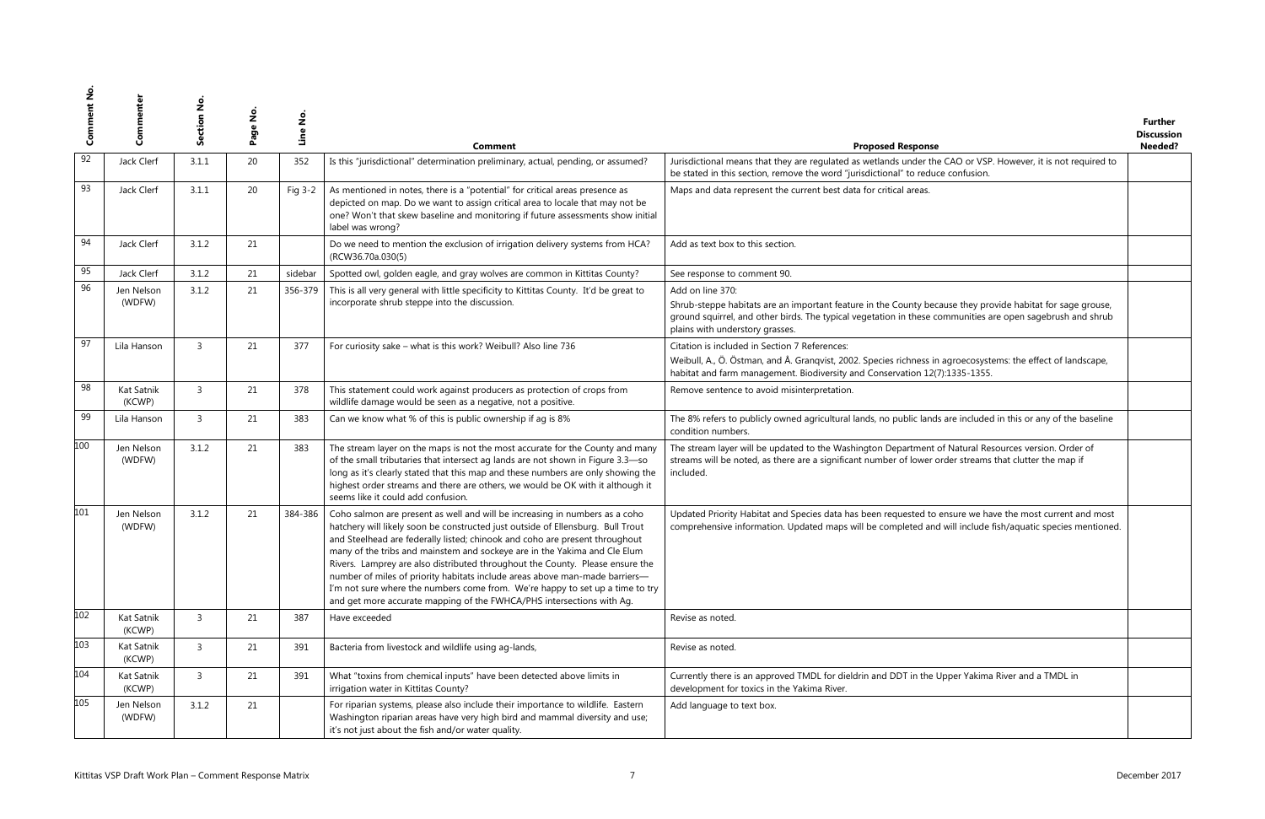| se                                                                                             | <b>Further</b><br><b>Discussion</b><br>Needed? |
|------------------------------------------------------------------------------------------------|------------------------------------------------|
| the CAO or VSP. However, it is not required to<br>uce confusion.                               |                                                |
|                                                                                                |                                                |
|                                                                                                |                                                |
| ecause they provide habitat for sage grouse,<br>communities are open sagebrush and shrub       |                                                |
| in agroecosystems: the effect of landscape,<br>2(7):1335-1355.                                 |                                                |
|                                                                                                |                                                |
| ds are included in this or any of the baseline                                                 |                                                |
| t of Natural Resources version. Order of<br>r order streams that clutter the map if            |                                                |
| to ensure we have the most current and most<br>nd will include fish/aquatic species mentioned. |                                                |
|                                                                                                |                                                |
|                                                                                                |                                                |
| e Upper Yakima River and a TMDL in                                                             |                                                |
|                                                                                                |                                                |
|                                                                                                |                                                |

| ပိ  | Commenter            | ş<br>ction<br>قى | $\frac{1}{2}$<br>Page | Line No | Comment                                                                                                                                                                                                                                                                                                                                                                                                                                                                                                                                                                                                                                              | <b>Proposed Response</b>                                                                                                                                                                                                                                    | Further<br><b>Discussion</b><br>Needed? |
|-----|----------------------|------------------|-----------------------|---------|------------------------------------------------------------------------------------------------------------------------------------------------------------------------------------------------------------------------------------------------------------------------------------------------------------------------------------------------------------------------------------------------------------------------------------------------------------------------------------------------------------------------------------------------------------------------------------------------------------------------------------------------------|-------------------------------------------------------------------------------------------------------------------------------------------------------------------------------------------------------------------------------------------------------------|-----------------------------------------|
| 92  | Jack Clerf           | 3.1.1            | 20                    | 352     | Is this "jurisdictional" determination preliminary, actual, pending, or assumed?                                                                                                                                                                                                                                                                                                                                                                                                                                                                                                                                                                     | Jurisdictional means that they are regulated as wetlands under the CAO or VSP. However, it is not required to<br>be stated in this section, remove the word "jurisdictional" to reduce confusion.                                                           |                                         |
| 93  | Jack Clerf           | 3.1.1            | 20                    | Fig 3-2 | As mentioned in notes, there is a "potential" for critical areas presence as<br>depicted on map. Do we want to assign critical area to locale that may not be<br>one? Won't that skew baseline and monitoring if future assessments show initial<br>label was wrong?                                                                                                                                                                                                                                                                                                                                                                                 | Maps and data represent the current best data for critical areas.                                                                                                                                                                                           |                                         |
| 94  | Jack Clerf           | 3.1.2            | 21                    |         | Do we need to mention the exclusion of irrigation delivery systems from HCA?<br>(RCW36.70a.030(5)                                                                                                                                                                                                                                                                                                                                                                                                                                                                                                                                                    | Add as text box to this section.                                                                                                                                                                                                                            |                                         |
| 95  | Jack Clerf           | 3.1.2            | 21                    | sidebar | Spotted owl, golden eagle, and gray wolves are common in Kittitas County?                                                                                                                                                                                                                                                                                                                                                                                                                                                                                                                                                                            | See response to comment 90.                                                                                                                                                                                                                                 |                                         |
| 96  | Jen Nelson           | 3.1.2            | 21                    | 356-379 | This is all very general with little specificity to Kittitas County. It'd be great to                                                                                                                                                                                                                                                                                                                                                                                                                                                                                                                                                                | Add on line 370:                                                                                                                                                                                                                                            |                                         |
|     | (WDFW)               |                  |                       |         | incorporate shrub steppe into the discussion.                                                                                                                                                                                                                                                                                                                                                                                                                                                                                                                                                                                                        | Shrub-steppe habitats are an important feature in the County because they provide habitat for sage grouse,<br>ground squirrel, and other birds. The typical vegetation in these communities are open sagebrush and shrub<br>plains with understory grasses. |                                         |
| 97  | Lila Hanson          | $\overline{3}$   | 21                    | 377     | For curiosity sake - what is this work? Weibull? Also line 736                                                                                                                                                                                                                                                                                                                                                                                                                                                                                                                                                                                       | Citation is included in Section 7 References:                                                                                                                                                                                                               |                                         |
|     |                      |                  |                       |         |                                                                                                                                                                                                                                                                                                                                                                                                                                                                                                                                                                                                                                                      | Weibull, A., Ö. Östman, and Å. Granqvist, 2002. Species richness in agroecosystems: the effect of landscape,<br>habitat and farm management. Biodiversity and Conservation 12(7):1335-1355.                                                                 |                                         |
| 98  | Kat Satnik<br>(KCWP) | $\overline{3}$   | 21                    | 378     | This statement could work against producers as protection of crops from<br>wildlife damage would be seen as a negative, not a positive.                                                                                                                                                                                                                                                                                                                                                                                                                                                                                                              | Remove sentence to avoid misinterpretation.                                                                                                                                                                                                                 |                                         |
| 99  | Lila Hanson          | $\overline{3}$   | 21                    | 383     | Can we know what % of this is public ownership if ag is 8%                                                                                                                                                                                                                                                                                                                                                                                                                                                                                                                                                                                           | The 8% refers to publicly owned agricultural lands, no public lands are included in this or any of the baseline<br>condition numbers.                                                                                                                       |                                         |
| 100 | Jen Nelson<br>(WDFW) | 3.1.2            | 21                    | 383     | The stream layer on the maps is not the most accurate for the County and many<br>of the small tributaries that intersect ag lands are not shown in Figure 3.3-so<br>long as it's clearly stated that this map and these numbers are only showing the<br>highest order streams and there are others, we would be OK with it although it<br>seems like it could add confusion.                                                                                                                                                                                                                                                                         | The stream layer will be updated to the Washington Department of Natural Resources version. Order of<br>streams will be noted, as there are a significant number of lower order streams that clutter the map if<br>included.                                |                                         |
| 101 | Jen Nelson<br>(WDFW) | 3.1.2            | 21                    | 384-386 | Coho salmon are present as well and will be increasing in numbers as a coho<br>hatchery will likely soon be constructed just outside of Ellensburg. Bull Trout<br>and Steelhead are federally listed; chinook and coho are present throughout<br>many of the tribs and mainstem and sockeye are in the Yakima and Cle Elum<br>Rivers. Lamprey are also distributed throughout the County. Please ensure the<br>number of miles of priority habitats include areas above man-made barriers-<br>I'm not sure where the numbers come from. We're happy to set up a time to try<br>and get more accurate mapping of the FWHCA/PHS intersections with Ag. | Updated Priority Habitat and Species data has been requested to ensure we have the most current and most<br>comprehensive information. Updated maps will be completed and will include fish/aquatic species mentioned.                                      |                                         |
| 102 | Kat Satnik<br>(KCWP) | $\overline{3}$   | 21                    | 387     | Have exceeded                                                                                                                                                                                                                                                                                                                                                                                                                                                                                                                                                                                                                                        | Revise as noted.                                                                                                                                                                                                                                            |                                         |
| 103 | Kat Satnik<br>(KCWP) | $\overline{3}$   | 21                    | 391     | Bacteria from livestock and wildlife using ag-lands,                                                                                                                                                                                                                                                                                                                                                                                                                                                                                                                                                                                                 | Revise as noted.                                                                                                                                                                                                                                            |                                         |
| 104 | Kat Satnik<br>(KCWP) | $\overline{3}$   | 21                    | 391     | What "toxins from chemical inputs" have been detected above limits in<br>irrigation water in Kittitas County?                                                                                                                                                                                                                                                                                                                                                                                                                                                                                                                                        | Currently there is an approved TMDL for dieldrin and DDT in the Upper Yakima River and a TMDL in<br>development for toxics in the Yakima River.                                                                                                             |                                         |
| 105 | Jen Nelson<br>(WDFW) | 3.1.2            | 21                    |         | For riparian systems, please also include their importance to wildlife. Eastern<br>Washington riparian areas have very high bird and mammal diversity and use;<br>it's not just about the fish and/or water quality.                                                                                                                                                                                                                                                                                                                                                                                                                                 | Add language to text box.                                                                                                                                                                                                                                   |                                         |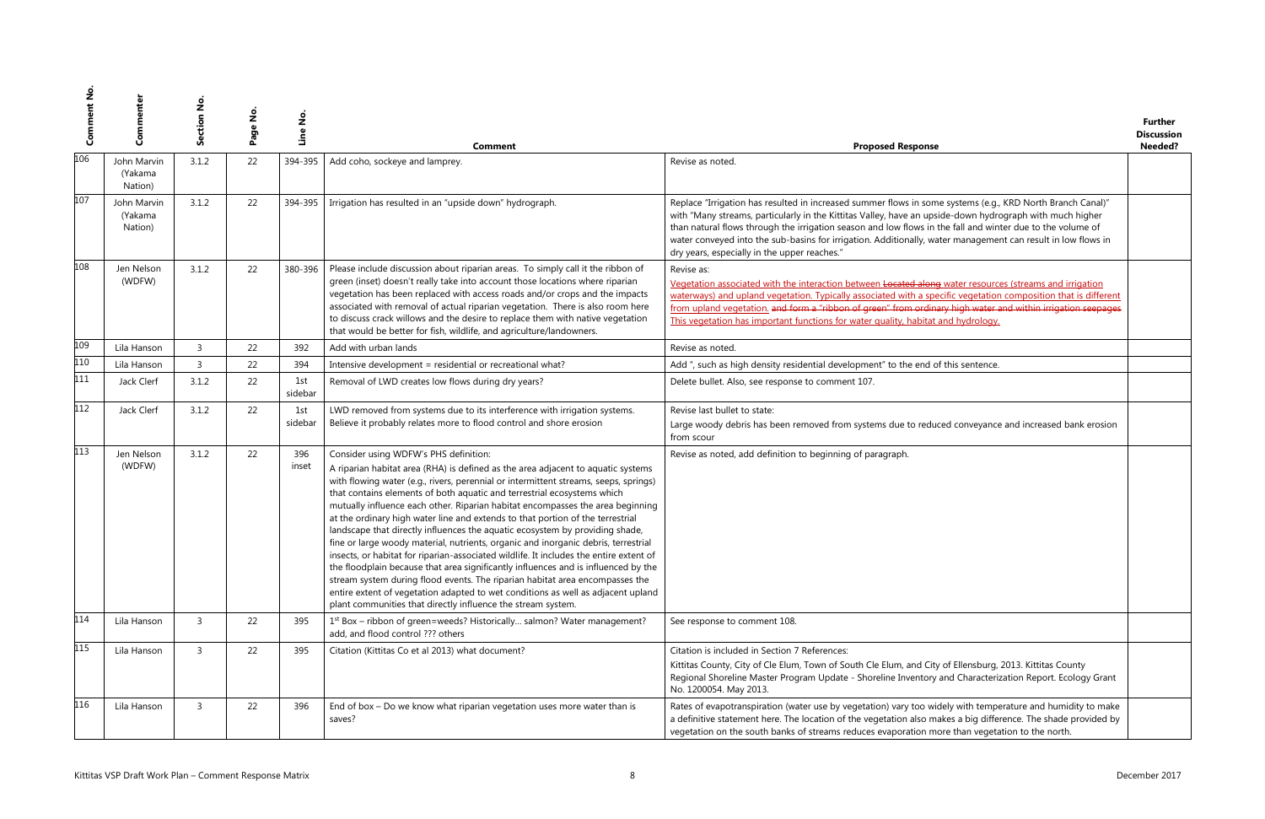| se                                                                                                                                                                                | <b>Further</b><br><b>Discussion</b><br>Needed? |
|-----------------------------------------------------------------------------------------------------------------------------------------------------------------------------------|------------------------------------------------|
|                                                                                                                                                                                   |                                                |
| me systems (e.g., KRD North Branch Canal)"<br>oside-down hydrograph with much higher<br>n the fall and winter due to the volume of<br>vater management can result in low flows in |                                                |
| ng water resources (streams and irrigation<br>pecific vegetation composition that is different<br>nary high water and within irrigation seepages<br>at and hydrology.             |                                                |
|                                                                                                                                                                                   |                                                |
| of this sentence.                                                                                                                                                                 |                                                |
|                                                                                                                                                                                   |                                                |
| luced conveyance and increased bank erosion                                                                                                                                       |                                                |
|                                                                                                                                                                                   |                                                |
|                                                                                                                                                                                   |                                                |
| ity of Ellensburg, 2013. Kittitas County<br>y and Characterization Report. Ecology Grant                                                                                          |                                                |
| widely with temperature and humidity to make<br>makes a big difference. The shade provided by<br>more than vegetation to the north.                                               |                                                |

| <u>ვ</u> | Commenter                                              | Section No     | $\frac{1}{2}$<br>Page | Line No.       | <b>Comment</b>                                                                                                                                                                                                                                                                                                                                                                                                                                                                                                                                                                                                                                                                                                                                                                                                                                                                                                                                                                                                                                             | <b>Proposed Response</b>                                                                                                                                                                                                                                                                                                                                                                                                                                                                             | <b>Further</b><br><b>Discussion</b><br>Needed? |
|----------|--------------------------------------------------------|----------------|-----------------------|----------------|------------------------------------------------------------------------------------------------------------------------------------------------------------------------------------------------------------------------------------------------------------------------------------------------------------------------------------------------------------------------------------------------------------------------------------------------------------------------------------------------------------------------------------------------------------------------------------------------------------------------------------------------------------------------------------------------------------------------------------------------------------------------------------------------------------------------------------------------------------------------------------------------------------------------------------------------------------------------------------------------------------------------------------------------------------|------------------------------------------------------------------------------------------------------------------------------------------------------------------------------------------------------------------------------------------------------------------------------------------------------------------------------------------------------------------------------------------------------------------------------------------------------------------------------------------------------|------------------------------------------------|
| 106      | John Marvin<br>(Yakama<br>Nation)                      | 3.1.2          | 22                    | 394-395        | Add coho, sockeye and lamprey.                                                                                                                                                                                                                                                                                                                                                                                                                                                                                                                                                                                                                                                                                                                                                                                                                                                                                                                                                                                                                             | Revise as noted.                                                                                                                                                                                                                                                                                                                                                                                                                                                                                     |                                                |
| 107      | John Marvin<br>(Yakama<br>Nation)                      | 3.1.2          | 22                    | 394-395        | Irrigation has resulted in an "upside down" hydrograph.                                                                                                                                                                                                                                                                                                                                                                                                                                                                                                                                                                                                                                                                                                                                                                                                                                                                                                                                                                                                    | Replace "Irrigation has resulted in increased summer flows in some systems (e.g., KRD North Branch Canal)"<br>with "Many streams, particularly in the Kittitas Valley, have an upside-down hydrograph with much higher<br>than natural flows through the irrigation season and low flows in the fall and winter due to the volume of<br>water conveyed into the sub-basins for irrigation. Additionally, water management can result in low flows in<br>dry years, especially in the upper reaches." |                                                |
| 108      | Jen Nelson<br>(WDFW)                                   | 3.1.2          | 22                    | 380-396        | Please include discussion about riparian areas. To simply call it the ribbon of<br>green (inset) doesn't really take into account those locations where riparian<br>vegetation has been replaced with access roads and/or crops and the impacts<br>associated with removal of actual riparian vegetation. There is also room here<br>to discuss crack willows and the desire to replace them with native vegetation<br>that would be better for fish, wildlife, and agriculture/landowners.                                                                                                                                                                                                                                                                                                                                                                                                                                                                                                                                                                | Revise as:<br>Vegetation associated with the interaction between Located along water resources (streams and irrigation<br>waterways) and upland vegetation. Typically associated with a specific vegetation composition that is different<br>from upland vegetation, and form a "ribbon of green" from ordinary high water and within irrigation seepages<br>This vegetation has important functions for water quality, habitat and hydrology.                                                       |                                                |
| 109      | Lila Hanson                                            | $\overline{3}$ | 22                    | 392            | Add with urban lands                                                                                                                                                                                                                                                                                                                                                                                                                                                                                                                                                                                                                                                                                                                                                                                                                                                                                                                                                                                                                                       | Revise as noted.                                                                                                                                                                                                                                                                                                                                                                                                                                                                                     |                                                |
| 110      | Lila Hanson                                            | $\overline{3}$ | 22                    | 394            | Intensive development = residential or recreational what?                                                                                                                                                                                                                                                                                                                                                                                                                                                                                                                                                                                                                                                                                                                                                                                                                                                                                                                                                                                                  | Add ", such as high density residential development" to the end of this sentence.                                                                                                                                                                                                                                                                                                                                                                                                                    |                                                |
| 111      | Jack Clerf                                             | 3.1.2          | 22                    | 1st<br>sidebar | Removal of LWD creates low flows during dry years?                                                                                                                                                                                                                                                                                                                                                                                                                                                                                                                                                                                                                                                                                                                                                                                                                                                                                                                                                                                                         | Delete bullet. Also, see response to comment 107.                                                                                                                                                                                                                                                                                                                                                                                                                                                    |                                                |
| 112      | Jack Clerf                                             | 3.1.2          | 22                    | 1st<br>sidebar | LWD removed from systems due to its interference with irrigation systems.<br>Believe it probably relates more to flood control and shore erosion                                                                                                                                                                                                                                                                                                                                                                                                                                                                                                                                                                                                                                                                                                                                                                                                                                                                                                           | Revise last bullet to state:<br>Large woody debris has been removed from systems due to reduced conveyance and increased bank erosion<br>from scour                                                                                                                                                                                                                                                                                                                                                  |                                                |
| 113      | Jen Nelson<br>(WDFW)                                   | 3.1.2          | 22                    | 396<br>inset   | Consider using WDFW's PHS definition:<br>A riparian habitat area (RHA) is defined as the area adjacent to aquatic systems<br>with flowing water (e.g., rivers, perennial or intermittent streams, seeps, springs)<br>that contains elements of both aquatic and terrestrial ecosystems which<br>mutually influence each other. Riparian habitat encompasses the area beginning<br>at the ordinary high water line and extends to that portion of the terrestrial<br>landscape that directly influences the aquatic ecosystem by providing shade,<br>fine or large woody material, nutrients, organic and inorganic debris, terrestrial<br>insects, or habitat for riparian-associated wildlife. It includes the entire extent of<br>the floodplain because that area significantly influences and is influenced by the<br>stream system during flood events. The riparian habitat area encompasses the<br>entire extent of vegetation adapted to wet conditions as well as adjacent upland<br>plant communities that directly influence the stream system. | Revise as noted, add definition to beginning of paragraph.                                                                                                                                                                                                                                                                                                                                                                                                                                           |                                                |
| 114      | Lila Hanson                                            | $\overline{3}$ | 22                    | 395            | 1 <sup>st</sup> Box - ribbon of green=weeds? Historically salmon? Water management?<br>add, and flood control ??? others                                                                                                                                                                                                                                                                                                                                                                                                                                                                                                                                                                                                                                                                                                                                                                                                                                                                                                                                   | See response to comment 108.                                                                                                                                                                                                                                                                                                                                                                                                                                                                         |                                                |
| 115      | Lila Hanson                                            | $\overline{3}$ | 22                    | 395            | Citation (Kittitas Co et al 2013) what document?                                                                                                                                                                                                                                                                                                                                                                                                                                                                                                                                                                                                                                                                                                                                                                                                                                                                                                                                                                                                           | Citation is included in Section 7 References:<br>Kittitas County, City of Cle Elum, Town of South Cle Elum, and City of Ellensburg, 2013. Kittitas County<br>Regional Shoreline Master Program Update - Shoreline Inventory and Characterization Report. Ecology Grant<br>No. 1200054. May 2013.                                                                                                                                                                                                     |                                                |
| 116      | Lila Hanson                                            | $\overline{3}$ | 22                    | 396            | End of box - Do we know what riparian vegetation uses more water than is<br>saves?                                                                                                                                                                                                                                                                                                                                                                                                                                                                                                                                                                                                                                                                                                                                                                                                                                                                                                                                                                         | Rates of evapotranspiration (water use by vegetation) vary too widely with temperature and humidity to make<br>a definitive statement here. The location of the vegetation also makes a big difference. The shade provided by<br>vegetation on the south banks of streams reduces evaporation more than vegetation to the north.                                                                                                                                                                     |                                                |
|          | Kittitas VSP Draft Work Plan - Comment Response Matrix |                |                       |                |                                                                                                                                                                                                                                                                                                                                                                                                                                                                                                                                                                                                                                                                                                                                                                                                                                                                                                                                                                                                                                                            |                                                                                                                                                                                                                                                                                                                                                                                                                                                                                                      | December 2017                                  |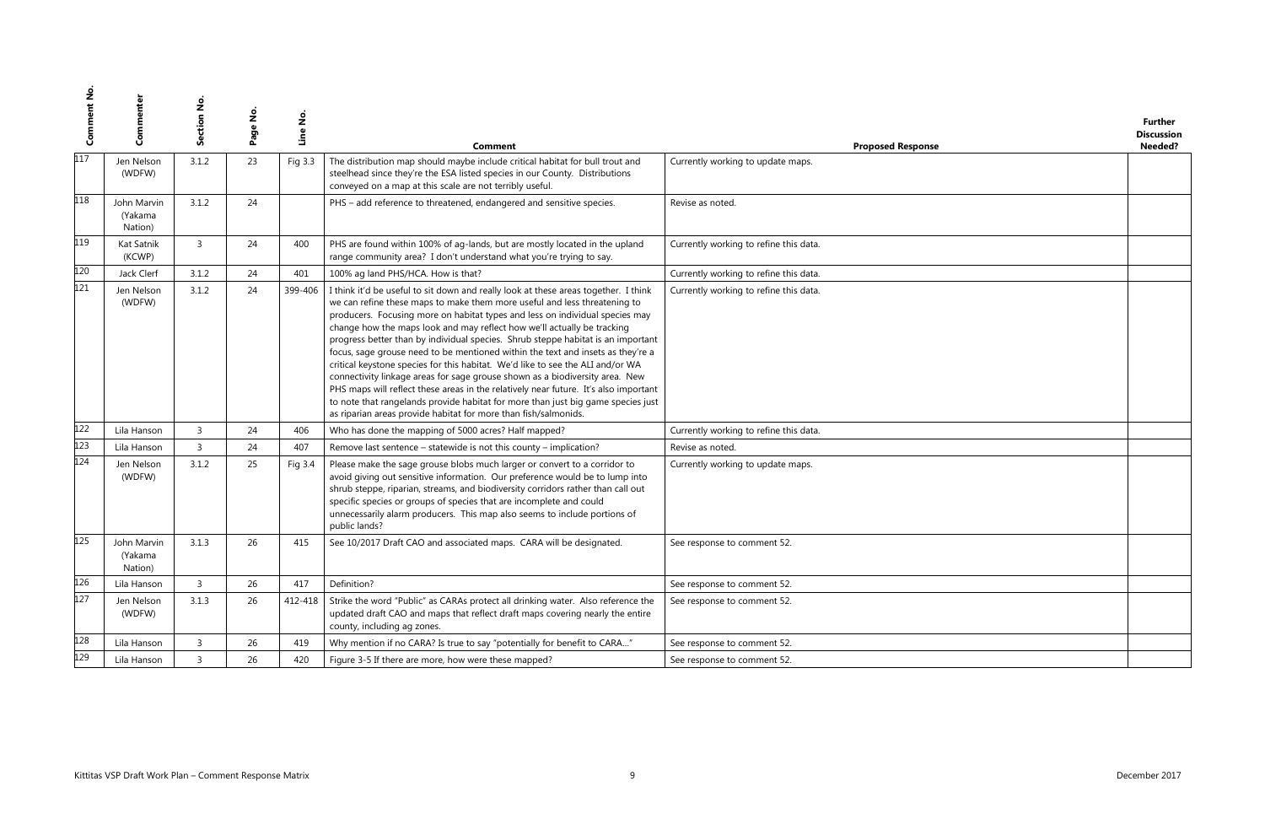| se | <b>Further</b><br><b>Discussion</b><br>Needed? |
|----|------------------------------------------------|
|    |                                                |
|    |                                                |
|    |                                                |
|    |                                                |
|    |                                                |
|    |                                                |
|    |                                                |
|    |                                                |
|    |                                                |
|    |                                                |
|    |                                                |
|    |                                                |
|    |                                                |
|    |                                                |
|    |                                                |
|    |                                                |
|    |                                                |
|    |                                                |

| ů   | Commenter                                              | Section No     | $\frac{9}{2}$<br>Page | Line No. | Comment                                                                                                                                                                                                                                                                                                                                                                                                                                                                                                                                                                                                                                                                                                                                                                                                                                                                                                             | <b>Proposed Response</b>               |               | <b>Further</b><br><b>Discussion</b><br>Needed? |
|-----|--------------------------------------------------------|----------------|-----------------------|----------|---------------------------------------------------------------------------------------------------------------------------------------------------------------------------------------------------------------------------------------------------------------------------------------------------------------------------------------------------------------------------------------------------------------------------------------------------------------------------------------------------------------------------------------------------------------------------------------------------------------------------------------------------------------------------------------------------------------------------------------------------------------------------------------------------------------------------------------------------------------------------------------------------------------------|----------------------------------------|---------------|------------------------------------------------|
| 117 | Jen Nelson<br>(WDFW)                                   | 3.1.2          | 23                    | Fig 3.3  | The distribution map should maybe include critical habitat for bull trout and<br>steelhead since they're the ESA listed species in our County. Distributions<br>conveyed on a map at this scale are not terribly useful.                                                                                                                                                                                                                                                                                                                                                                                                                                                                                                                                                                                                                                                                                            | Currently working to update maps.      |               |                                                |
| 118 | John Marvin<br>(Yakama<br>Nation)                      | 3.1.2          | 24                    |          | PHS - add reference to threatened, endangered and sensitive species.                                                                                                                                                                                                                                                                                                                                                                                                                                                                                                                                                                                                                                                                                                                                                                                                                                                | Revise as noted.                       |               |                                                |
| 119 | Kat Satnik<br>(KCWP)                                   | $\overline{3}$ | 24                    | 400      | PHS are found within 100% of ag-lands, but are mostly located in the upland<br>range community area? I don't understand what you're trying to say.                                                                                                                                                                                                                                                                                                                                                                                                                                                                                                                                                                                                                                                                                                                                                                  | Currently working to refine this data. |               |                                                |
| 120 | Jack Clerf                                             | 3.1.2          | 24                    | 401      | 100% ag land PHS/HCA. How is that?                                                                                                                                                                                                                                                                                                                                                                                                                                                                                                                                                                                                                                                                                                                                                                                                                                                                                  | Currently working to refine this data. |               |                                                |
| 121 | Jen Nelson<br>(WDFW)                                   | 3.1.2          | 24                    | 399-406  | I think it'd be useful to sit down and really look at these areas together. I think<br>we can refine these maps to make them more useful and less threatening to<br>producers. Focusing more on habitat types and less on individual species may<br>change how the maps look and may reflect how we'll actually be tracking<br>progress better than by individual species. Shrub steppe habitat is an important<br>focus, sage grouse need to be mentioned within the text and insets as they're a<br>critical keystone species for this habitat. We'd like to see the ALI and/or WA<br>connectivity linkage areas for sage grouse shown as a biodiversity area. New<br>PHS maps will reflect these areas in the relatively near future. It's also important<br>to note that rangelands provide habitat for more than just big game species just<br>as riparian areas provide habitat for more than fish/salmonids. | Currently working to refine this data. |               |                                                |
| 122 | Lila Hanson                                            | $\overline{3}$ | 24                    | 406      | Who has done the mapping of 5000 acres? Half mapped?                                                                                                                                                                                                                                                                                                                                                                                                                                                                                                                                                                                                                                                                                                                                                                                                                                                                | Currently working to refine this data. |               |                                                |
| 123 | Lila Hanson                                            | $\overline{3}$ | 24                    | 407      | Remove last sentence - statewide is not this county - implication?                                                                                                                                                                                                                                                                                                                                                                                                                                                                                                                                                                                                                                                                                                                                                                                                                                                  | Revise as noted.                       |               |                                                |
| 124 | Jen Nelson<br>(WDFW)                                   | 3.1.2          | 25                    | Fig 3.4  | Please make the sage grouse blobs much larger or convert to a corridor to<br>avoid giving out sensitive information. Our preference would be to lump into<br>shrub steppe, riparian, streams, and biodiversity corridors rather than call out<br>specific species or groups of species that are incomplete and could<br>unnecessarily alarm producers. This map also seems to include portions of<br>public lands?                                                                                                                                                                                                                                                                                                                                                                                                                                                                                                  | Currently working to update maps.      |               |                                                |
| 125 | John Marvin<br>(Yakama<br>Nation)                      | 3.1.3          | 26                    | 415      | See 10/2017 Draft CAO and associated maps. CARA will be designated.                                                                                                                                                                                                                                                                                                                                                                                                                                                                                                                                                                                                                                                                                                                                                                                                                                                 | See response to comment 52.            |               |                                                |
| 126 | Lila Hanson                                            | $\overline{3}$ | 26                    | 417      | Definition?                                                                                                                                                                                                                                                                                                                                                                                                                                                                                                                                                                                                                                                                                                                                                                                                                                                                                                         | See response to comment 52.            |               |                                                |
| 127 | Jen Nelson<br>(WDFW)                                   | 3.1.3          | 26                    | 412-418  | Strike the word "Public" as CARAs protect all drinking water. Also reference the<br>updated draft CAO and maps that reflect draft maps covering nearly the entire<br>county, including ag zones.                                                                                                                                                                                                                                                                                                                                                                                                                                                                                                                                                                                                                                                                                                                    | See response to comment 52.            |               |                                                |
| 128 | Lila Hanson                                            | $\overline{3}$ | 26                    | 419      | Why mention if no CARA? Is true to say "potentially for benefit to CARA"                                                                                                                                                                                                                                                                                                                                                                                                                                                                                                                                                                                                                                                                                                                                                                                                                                            | See response to comment 52.            |               |                                                |
| 129 | Lila Hanson                                            | $\overline{3}$ | 26                    | 420      | Figure 3-5 If there are more, how were these mapped?                                                                                                                                                                                                                                                                                                                                                                                                                                                                                                                                                                                                                                                                                                                                                                                                                                                                | See response to comment 52.            |               |                                                |
|     |                                                        |                |                       |          |                                                                                                                                                                                                                                                                                                                                                                                                                                                                                                                                                                                                                                                                                                                                                                                                                                                                                                                     |                                        |               |                                                |
|     | Kittitas VSP Draft Work Plan - Comment Response Matrix |                |                       |          |                                                                                                                                                                                                                                                                                                                                                                                                                                                                                                                                                                                                                                                                                                                                                                                                                                                                                                                     |                                        | December 2017 |                                                |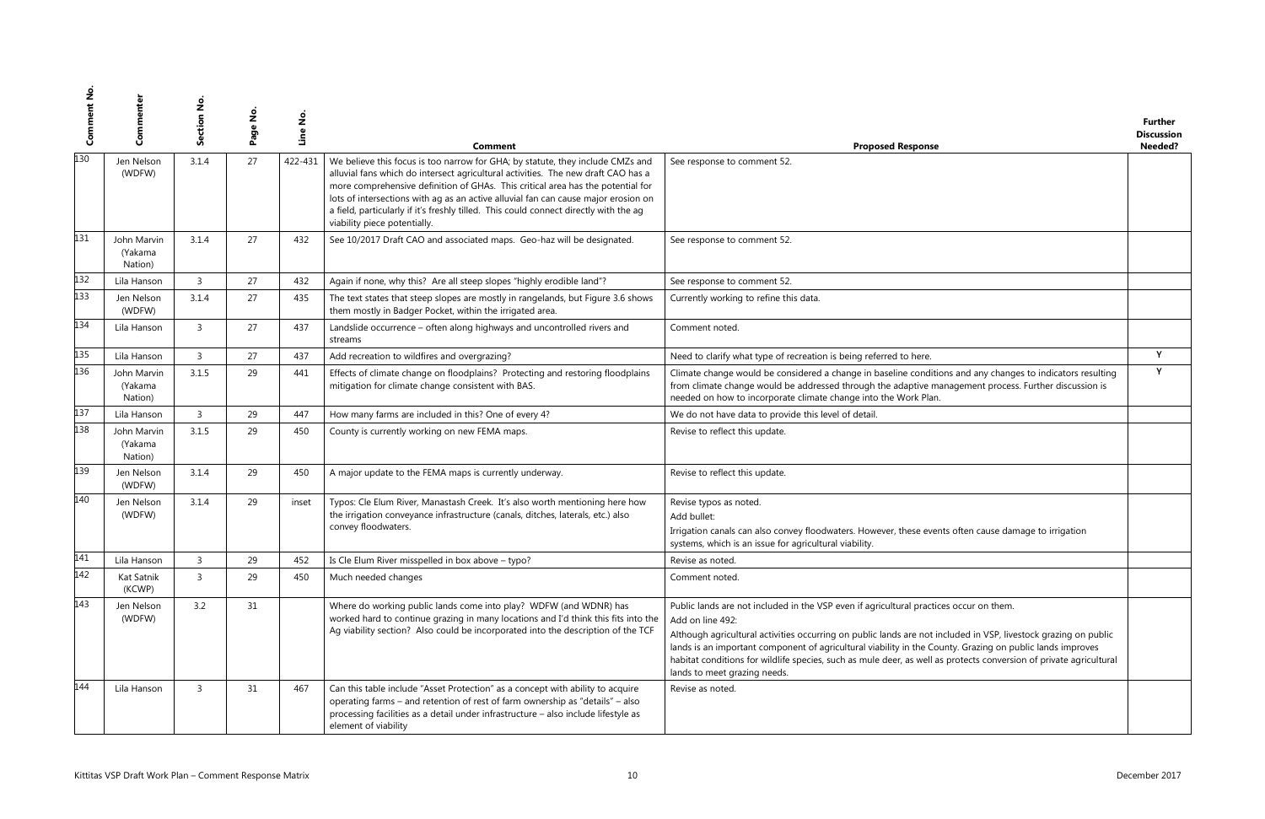|                                                                                             | <b>Further</b>    |
|---------------------------------------------------------------------------------------------|-------------------|
|                                                                                             | <b>Discussion</b> |
| se                                                                                          | Needed?           |
|                                                                                             |                   |
|                                                                                             |                   |
|                                                                                             |                   |
|                                                                                             |                   |
|                                                                                             |                   |
|                                                                                             |                   |
|                                                                                             |                   |
|                                                                                             |                   |
|                                                                                             |                   |
|                                                                                             |                   |
|                                                                                             |                   |
|                                                                                             |                   |
|                                                                                             |                   |
|                                                                                             |                   |
|                                                                                             | Y                 |
|                                                                                             | Υ                 |
| itions and any changes to indicators resulting<br>management process. Further discussion is |                   |
| эn.                                                                                         |                   |
|                                                                                             |                   |
|                                                                                             |                   |
|                                                                                             |                   |
|                                                                                             |                   |
|                                                                                             |                   |
|                                                                                             |                   |
|                                                                                             |                   |
|                                                                                             |                   |
|                                                                                             |                   |
| ents often cause damage to irrigation                                                       |                   |
|                                                                                             |                   |
|                                                                                             |                   |
|                                                                                             |                   |
|                                                                                             |                   |
| tices occur on them.                                                                        |                   |
|                                                                                             |                   |
|                                                                                             |                   |
| t included in VSP, livestock grazing on public<br>County. Grazing on public lands improves  |                   |
| l as protects conversion of private agricultural                                            |                   |
|                                                                                             |                   |
|                                                                                             |                   |
|                                                                                             |                   |
|                                                                                             |                   |
|                                                                                             |                   |
|                                                                                             |                   |

| ů   | Commenter                         | ction No.<br>မြိ | $\frac{9}{2}$<br>Page | Line No. | Comment                                                                                                                                                                                                                                                                                                                                                                                                                                                               | <b>Proposed Response</b>                                                                                                                                                                                                                                                                                                                                                                                                                                                                         | <b>Further</b><br><b>Discussion</b><br>Needed? |
|-----|-----------------------------------|------------------|-----------------------|----------|-----------------------------------------------------------------------------------------------------------------------------------------------------------------------------------------------------------------------------------------------------------------------------------------------------------------------------------------------------------------------------------------------------------------------------------------------------------------------|--------------------------------------------------------------------------------------------------------------------------------------------------------------------------------------------------------------------------------------------------------------------------------------------------------------------------------------------------------------------------------------------------------------------------------------------------------------------------------------------------|------------------------------------------------|
| 130 | Jen Nelson<br>(WDFW)              | 3.1.4            | 27                    | 422-431  | We believe this focus is too narrow for GHA; by statute, they include CMZs and<br>alluvial fans which do intersect agricultural activities. The new draft CAO has a<br>more comprehensive definition of GHAs. This critical area has the potential for<br>lots of intersections with ag as an active alluvial fan can cause major erosion on<br>a field, particularly if it's freshly tilled. This could connect directly with the ag<br>viability piece potentially. | See response to comment 52.                                                                                                                                                                                                                                                                                                                                                                                                                                                                      |                                                |
| 131 | John Marvin<br>(Yakama<br>Nation) | 3.1.4            | 27                    | 432      | See 10/2017 Draft CAO and associated maps. Geo-haz will be designated.                                                                                                                                                                                                                                                                                                                                                                                                | See response to comment 52.                                                                                                                                                                                                                                                                                                                                                                                                                                                                      |                                                |
| 132 | Lila Hanson                       | $\overline{3}$   | 27                    | 432      | Again if none, why this? Are all steep slopes "highly erodible land"?                                                                                                                                                                                                                                                                                                                                                                                                 | See response to comment 52.                                                                                                                                                                                                                                                                                                                                                                                                                                                                      |                                                |
| 133 | Jen Nelson<br>(WDFW)              | 3.1.4            | 27                    | 435      | The text states that steep slopes are mostly in rangelands, but Figure 3.6 shows<br>them mostly in Badger Pocket, within the irrigated area.                                                                                                                                                                                                                                                                                                                          | Currently working to refine this data.                                                                                                                                                                                                                                                                                                                                                                                                                                                           |                                                |
| 134 | Lila Hanson                       | $\overline{3}$   | 27                    | 437      | Landslide occurrence - often along highways and uncontrolled rivers and<br>streams                                                                                                                                                                                                                                                                                                                                                                                    | Comment noted.                                                                                                                                                                                                                                                                                                                                                                                                                                                                                   |                                                |
| 135 | Lila Hanson                       | $\overline{3}$   | 27                    | 437      | Add recreation to wildfires and overgrazing?                                                                                                                                                                                                                                                                                                                                                                                                                          | Need to clarify what type of recreation is being referred to here.                                                                                                                                                                                                                                                                                                                                                                                                                               | Y                                              |
| 136 | John Marvin<br>(Yakama<br>Nation) | 3.1.5            | 29                    | 441      | Effects of climate change on floodplains? Protecting and restoring floodplains<br>mitigation for climate change consistent with BAS.                                                                                                                                                                                                                                                                                                                                  | Climate change would be considered a change in baseline conditions and any changes to indicators resulting<br>from climate change would be addressed through the adaptive management process. Further discussion is<br>needed on how to incorporate climate change into the Work Plan.                                                                                                                                                                                                           | Y                                              |
| 137 | Lila Hanson                       | $\overline{3}$   | 29                    | 447      | How many farms are included in this? One of every 4?                                                                                                                                                                                                                                                                                                                                                                                                                  | We do not have data to provide this level of detail.                                                                                                                                                                                                                                                                                                                                                                                                                                             |                                                |
| 138 | John Marvin<br>(Yakama<br>Nation) | 3.1.5            | 29                    | 450      | County is currently working on new FEMA maps.                                                                                                                                                                                                                                                                                                                                                                                                                         | Revise to reflect this update.                                                                                                                                                                                                                                                                                                                                                                                                                                                                   |                                                |
| 139 | Jen Nelson<br>(WDFW)              | 3.1.4            | 29                    | 450      | A major update to the FEMA maps is currently underway.                                                                                                                                                                                                                                                                                                                                                                                                                | Revise to reflect this update.                                                                                                                                                                                                                                                                                                                                                                                                                                                                   |                                                |
| 140 | Jen Nelson<br>(WDFW)              | 3.1.4            | 29                    | inset    | Typos: Cle Elum River, Manastash Creek. It's also worth mentioning here how<br>the irrigation conveyance infrastructure (canals, ditches, laterals, etc.) also<br>convey floodwaters.                                                                                                                                                                                                                                                                                 | Revise typos as noted.<br>Add bullet:<br>Irrigation canals can also convey floodwaters. However, these events often cause damage to irrigation<br>systems, which is an issue for agricultural viability.                                                                                                                                                                                                                                                                                         |                                                |
| 141 | Lila Hanson                       | $\overline{3}$   | 29                    | 452      | Is Cle Elum River misspelled in box above - typo?                                                                                                                                                                                                                                                                                                                                                                                                                     | Revise as noted.                                                                                                                                                                                                                                                                                                                                                                                                                                                                                 |                                                |
| 142 | Kat Satnik<br>(KCWP)              | $\overline{3}$   | 29                    | 450      | Much needed changes                                                                                                                                                                                                                                                                                                                                                                                                                                                   | Comment noted.                                                                                                                                                                                                                                                                                                                                                                                                                                                                                   |                                                |
| 143 | Jen Nelson<br>(WDFW)              | 3.2              | 31                    |          | Where do working public lands come into play? WDFW (and WDNR) has<br>worked hard to continue grazing in many locations and I'd think this fits into the<br>Ag viability section? Also could be incorporated into the description of the TCF                                                                                                                                                                                                                           | Public lands are not included in the VSP even if agricultural practices occur on them.<br>Add on line 492:<br>Although agricultural activities occurring on public lands are not included in VSP, livestock grazing on public<br>lands is an important component of agricultural viability in the County. Grazing on public lands improves<br>habitat conditions for wildlife species, such as mule deer, as well as protects conversion of private agricultural<br>lands to meet grazing needs. |                                                |
| 144 | Lila Hanson                       | $\overline{3}$   | 31                    | 467      | Can this table include "Asset Protection" as a concept with ability to acquire<br>operating farms - and retention of rest of farm ownership as "details" - also<br>processing facilities as a detail under infrastructure - also include lifestyle as<br>element of viability                                                                                                                                                                                         | Revise as noted.                                                                                                                                                                                                                                                                                                                                                                                                                                                                                 |                                                |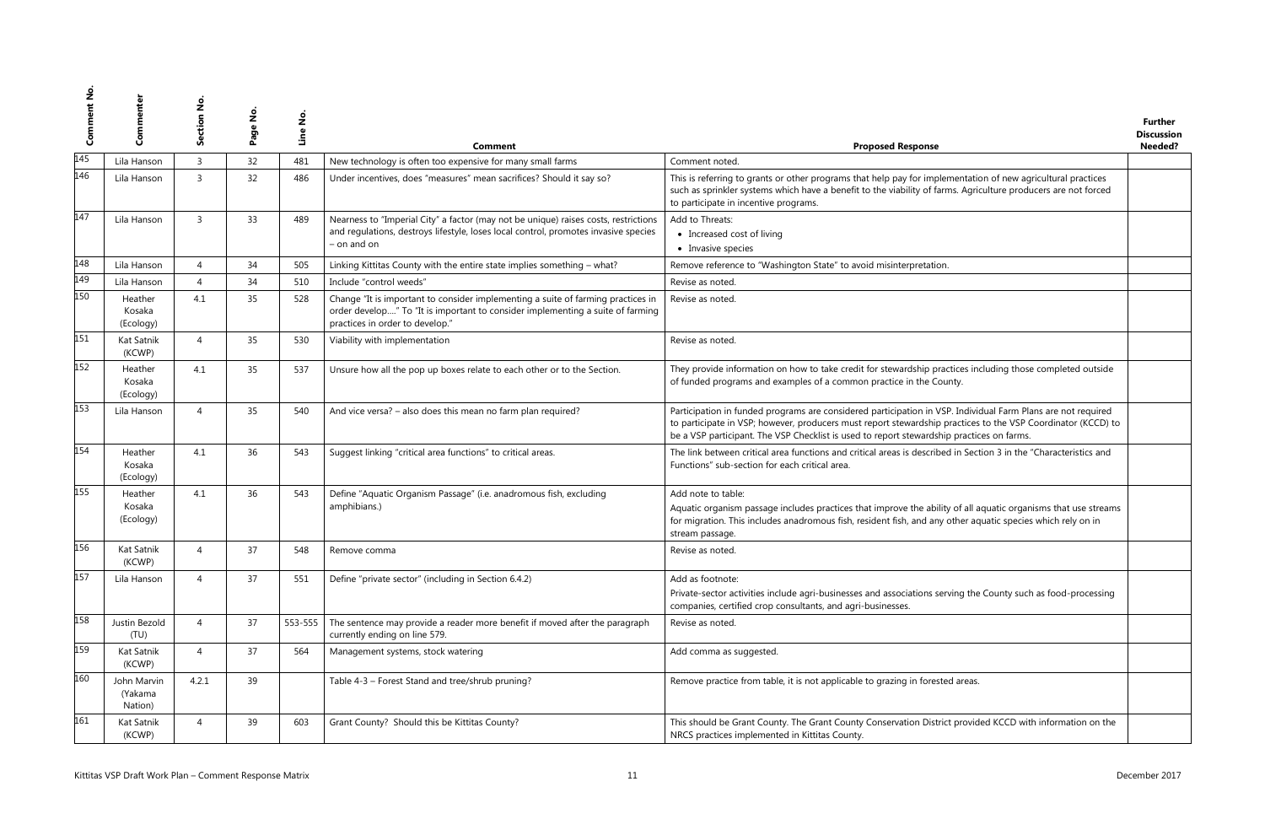| se                                                                                                                           | <b>Further</b><br><b>Discussion</b><br>Needed? |
|------------------------------------------------------------------------------------------------------------------------------|------------------------------------------------|
|                                                                                                                              |                                                |
| nplementation of new agricultural practices<br>farms. Agriculture producers are not forced                                   |                                                |
|                                                                                                                              |                                                |
| tion.                                                                                                                        |                                                |
|                                                                                                                              |                                                |
|                                                                                                                              |                                                |
|                                                                                                                              |                                                |
| practices including those completed outside<br>County.                                                                       |                                                |
| I VSP. Individual Farm Plans are not required<br>nip practices to the VSP Coordinator (KCCD) to<br>dship practices on farms. |                                                |
| ribed in Section 3 in the "Characteristics and                                                                               |                                                |
| bility of all aquatic organisms that use streams<br>any other aquatic species which rely on in                               |                                                |
|                                                                                                                              |                                                |
| s serving the County such as food-processing                                                                                 |                                                |
|                                                                                                                              |                                                |
|                                                                                                                              |                                                |
| ested areas.                                                                                                                 |                                                |
| strict provided KCCD with information on the                                                                                 |                                                |

| ပိ  | Commenter                                              | Section No     | $\frac{1}{2}$<br>Page | Line No. | Comment                                                                                                                                                                                               | <b>Proposed Response</b>                                                                                                                                                                                                                                                                                                  | Further<br><b>Discussion</b><br>Needed? |
|-----|--------------------------------------------------------|----------------|-----------------------|----------|-------------------------------------------------------------------------------------------------------------------------------------------------------------------------------------------------------|---------------------------------------------------------------------------------------------------------------------------------------------------------------------------------------------------------------------------------------------------------------------------------------------------------------------------|-----------------------------------------|
| 145 | Lila Hanson                                            | $\overline{3}$ | 32                    | 481      | New technology is often too expensive for many small farms                                                                                                                                            | Comment noted.                                                                                                                                                                                                                                                                                                            |                                         |
| 146 | Lila Hanson                                            | 3              | 32                    | 486      | Under incentives, does "measures" mean sacrifices? Should it say so?                                                                                                                                  | This is referring to grants or other programs that help pay for implementation of new agricultural practices<br>such as sprinkler systems which have a benefit to the viability of farms. Agriculture producers are not forced<br>to participate in incentive programs.                                                   |                                         |
| 147 | Lila Hanson                                            | $\overline{3}$ | 33                    | 489      | Nearness to "Imperial City" a factor (may not be unique) raises costs, restrictions<br>and regulations, destroys lifestyle, loses local control, promotes invasive species<br>$-$ on and on           | Add to Threats:<br>• Increased cost of living<br>• Invasive species                                                                                                                                                                                                                                                       |                                         |
| 148 | Lila Hanson                                            | 4              | 34                    | 505      | Linking Kittitas County with the entire state implies something - what?                                                                                                                               | Remove reference to "Washington State" to avoid misinterpretation.                                                                                                                                                                                                                                                        |                                         |
| 149 | Lila Hanson                                            | $\overline{4}$ | 34                    | 510      | Include "control weeds"                                                                                                                                                                               | Revise as noted.                                                                                                                                                                                                                                                                                                          |                                         |
| 150 | Heather<br>Kosaka<br>(Ecology)                         | 4.1            | 35                    | 528      | Change "It is important to consider implementing a suite of farming practices in<br>order develop" To "It is important to consider implementing a suite of farming<br>practices in order to develop." | Revise as noted.                                                                                                                                                                                                                                                                                                          |                                         |
| 151 | Kat Satnik<br>(KCWP)                                   | $\overline{4}$ | 35                    | 530      | Viability with implementation                                                                                                                                                                         | Revise as noted.                                                                                                                                                                                                                                                                                                          |                                         |
| 152 | Heather<br>Kosaka<br>(Ecology)                         | 4.1            | 35                    | 537      | Unsure how all the pop up boxes relate to each other or to the Section.                                                                                                                               | They provide information on how to take credit for stewardship practices including those completed outside<br>of funded programs and examples of a common practice in the County.                                                                                                                                         |                                         |
| 153 | Lila Hanson                                            | $\overline{4}$ | 35                    | 540      | And vice versa? - also does this mean no farm plan required?                                                                                                                                          | Participation in funded programs are considered participation in VSP. Individual Farm Plans are not required<br>to participate in VSP; however, producers must report stewardship practices to the VSP Coordinator (KCCD) to<br>be a VSP participant. The VSP Checklist is used to report stewardship practices on farms. |                                         |
| 154 | Heather<br>Kosaka<br>(Ecology)                         | 4.1            | 36                    | 543      | Suggest linking "critical area functions" to critical areas.                                                                                                                                          | The link between critical area functions and critical areas is described in Section 3 in the "Characteristics and<br>Functions" sub-section for each critical area.                                                                                                                                                       |                                         |
| 155 | Heather<br>Kosaka<br>(Ecology)                         | 4.1            | 36                    | 543      | Define "Aquatic Organism Passage" (i.e. anadromous fish, excluding<br>amphibians.)                                                                                                                    | Add note to table:<br>Aquatic organism passage includes practices that improve the ability of all aquatic organisms that use streams<br>for migration. This includes anadromous fish, resident fish, and any other aquatic species which rely on in<br>stream passage.                                                    |                                         |
| 156 | Kat Satnik<br>(KCWP)                                   | $\overline{4}$ | 37                    | 548      | Remove comma                                                                                                                                                                                          | Revise as noted.                                                                                                                                                                                                                                                                                                          |                                         |
| 157 | Lila Hanson                                            | $\overline{4}$ | 37                    | 551      | Define "private sector" (including in Section 6.4.2)                                                                                                                                                  | Add as footnote:<br>Private-sector activities include agri-businesses and associations serving the County such as food-processing<br>companies, certified crop consultants, and agri-businesses.                                                                                                                          |                                         |
| 158 | Justin Bezold<br>(TU)                                  | $\overline{4}$ | 37                    | 553-555  | The sentence may provide a reader more benefit if moved after the paragraph<br>currently ending on line 579.                                                                                          | Revise as noted.                                                                                                                                                                                                                                                                                                          |                                         |
| 159 | Kat Satnik<br>(KCWP)                                   | $\overline{4}$ | 37                    | 564      | Management systems, stock watering                                                                                                                                                                    | Add comma as suggested.                                                                                                                                                                                                                                                                                                   |                                         |
| 160 | John Marvin<br>(Yakama<br>Nation)                      | 4.2.1          | 39                    |          | Table 4-3 - Forest Stand and tree/shrub pruning?                                                                                                                                                      | Remove practice from table, it is not applicable to grazing in forested areas.                                                                                                                                                                                                                                            |                                         |
| 161 | Kat Satnik<br>(KCWP)                                   | $\overline{4}$ | 39                    | 603      | Grant County? Should this be Kittitas County?                                                                                                                                                         | This should be Grant County. The Grant County Conservation District provided KCCD with information on the<br>NRCS practices implemented in Kittitas County.                                                                                                                                                               |                                         |
|     | Kittitas VSP Draft Work Plan - Comment Response Matrix |                |                       |          | 11                                                                                                                                                                                                    |                                                                                                                                                                                                                                                                                                                           | December 2017                           |